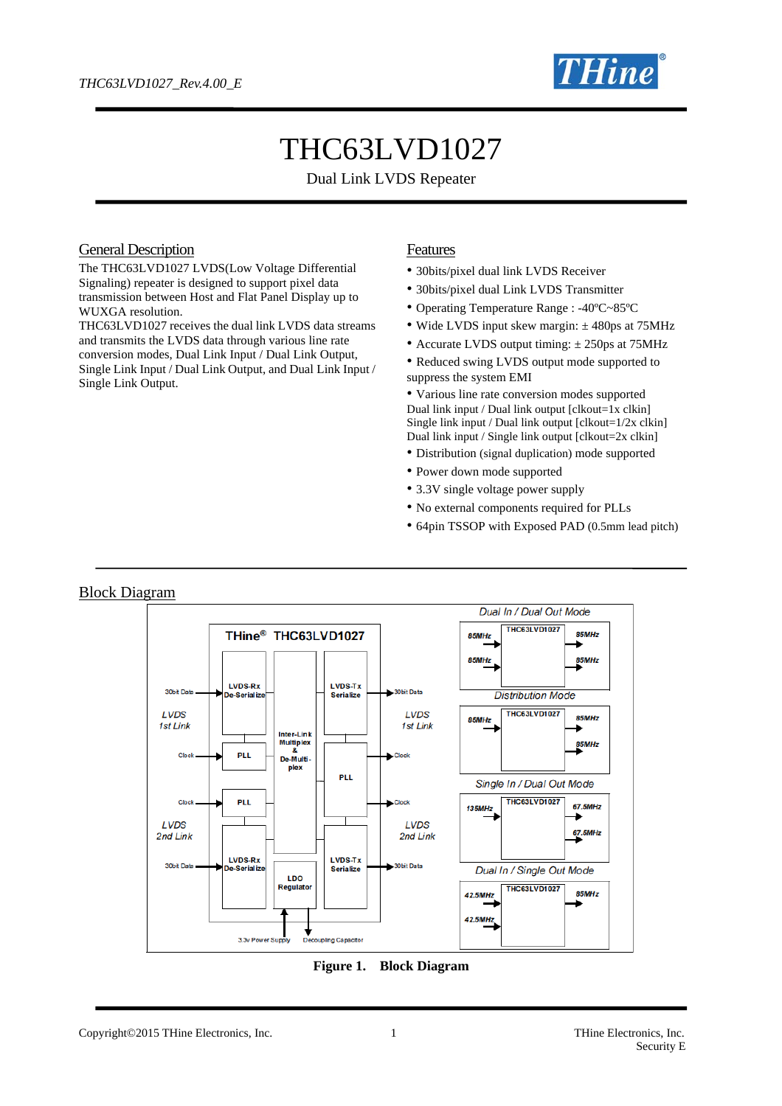

# THC63LVD1027

Dual Link LVDS Repeater

#### General Description

The THC63LVD1027 LVDS(Low Voltage Differential Signaling) repeater is designed to support pixel data transmission between Host and Flat Panel Display up to WUXGA resolution.

THC63LVD1027 receives the dual link LVDS data streams and transmits the LVDS data through various line rate conversion modes, Dual Link Input / Dual Link Output, Single Link Input / Dual Link Output, and Dual Link Input / Single Link Output.

#### **Features**

- 30bits/pixel dual link LVDS Receiver
- 30bits/pixel dual Link LVDS Transmitter
- Operating Temperature Range : -40ºC~85ºC
- Wide LVDS input skew margin:  $\pm$  480ps at 75MHz
- Accurate LVDS output timing:  $\pm$  250ps at 75MHz
- Reduced swing LVDS output mode supported to suppress the system EMI

• Various line rate conversion modes supported Dual link input / Dual link output  $[clkout=1x$  clkin $]$ Single link input / Dual link output [clkout=1/2x clkin] Dual link input / Single link output [clkout=2x clkin]

- Distribution (signal duplication) mode supported
- Power down mode supported
- 3.3V single voltage power supply
- No external components required for PLLs
- 64pin TSSOP with Exposed PAD (0.5mm lead pitch)

#### Block Diagram Dual In / Dual Out Mode **THC63LVD1027** THine<sup>®</sup> THC63LVD1027 85MHz 85MH<sub>z</sub> 85MHz 85MHz LVDS-Rx **LVDS-Tx** 30hit Data 30hit Data **Distribution Mode Jo-Serialis** Serialize **THC63LVD1027 LVDS** LVDS 85MHz **SEMH<sub>7</sub>** 1st Link 1st Link Inter-Link<br>Multiplex 85MHz Close PLL De-Multiplex PLL Single In / Dual Out Mode THC63LVD1027 Clock **PLI** Clock 135MHz **67 SMHz** LVDS LVDS 67.5MHz 2nd Link 2nd Link LVDS-Rx **LVDS-Tx** 30bit Data **30bit Data** Serializ **Serialize** Dual In / Single Out Mode LDO Regulator **THC63LVD1027** 85MHz 42.5MHz 42.5MHz 3.3v Power Supply ing Capacitor



Copyright©2015 THine Electronics, Inc. 1 1 THine Electronics, Inc. 1 THine Electronics, Inc.

# Security E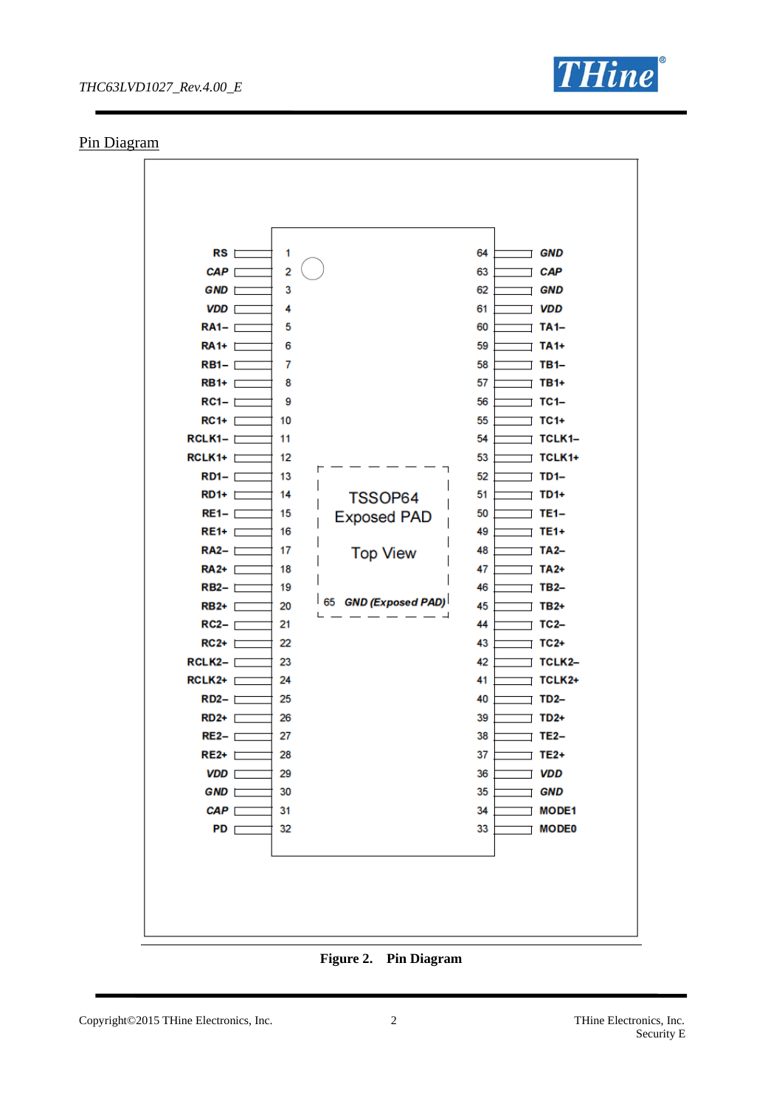

#### Pin Diagram



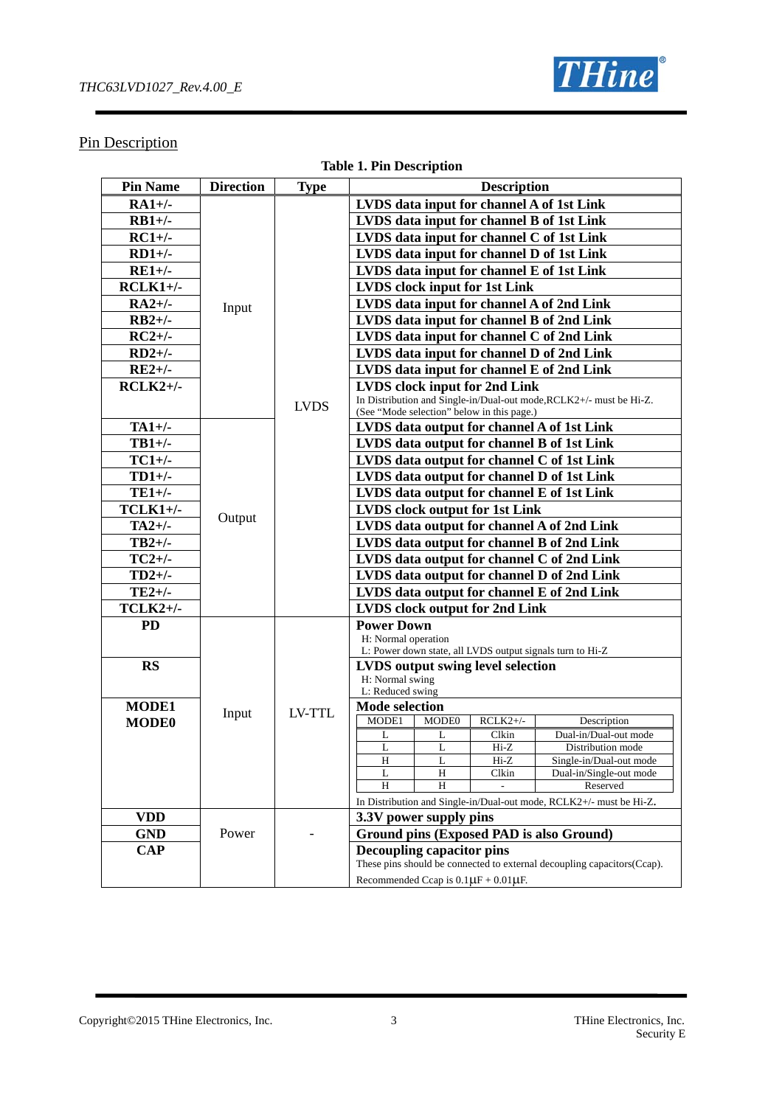

### **Pin Description**

|  | <b>Table 1. Pin Description</b> |  |
|--|---------------------------------|--|
|  |                                 |  |

| <b>Pin Name</b> | <b>Direction</b> | <b>Type</b> | <b>Description</b>                                                                 |  |  |  |  |  |  |
|-----------------|------------------|-------------|------------------------------------------------------------------------------------|--|--|--|--|--|--|
| $RA1+/-$        |                  |             | LVDS data input for channel A of 1st Link                                          |  |  |  |  |  |  |
| $RB1+/-$        |                  |             | LVDS data input for channel B of 1st Link                                          |  |  |  |  |  |  |
| $RC1+/-$        |                  |             | LVDS data input for channel C of 1st Link                                          |  |  |  |  |  |  |
|                 |                  |             |                                                                                    |  |  |  |  |  |  |
| $RD1+/-$        |                  |             | LVDS data input for channel D of 1st Link                                          |  |  |  |  |  |  |
| $RE1+/-$        |                  |             | LVDS data input for channel E of 1st Link                                          |  |  |  |  |  |  |
| $RCLK1+/-$      |                  |             | <b>LVDS</b> clock input for 1st Link                                               |  |  |  |  |  |  |
| $RA2+/-$        | Input            |             | LVDS data input for channel A of 2nd Link                                          |  |  |  |  |  |  |
| $RB2+/$         |                  |             | LVDS data input for channel B of 2nd Link                                          |  |  |  |  |  |  |
| $RC2+/-$        |                  |             | LVDS data input for channel C of 2nd Link                                          |  |  |  |  |  |  |
| $RD2+/-$        |                  |             | LVDS data input for channel D of 2nd Link                                          |  |  |  |  |  |  |
| $RE2+/-$        |                  |             | LVDS data input for channel E of 2nd Link                                          |  |  |  |  |  |  |
| $RCLK2+/-$      |                  |             | LVDS clock input for 2nd Link                                                      |  |  |  |  |  |  |
|                 |                  |             | In Distribution and Single-in/Dual-out mode, RCLK2+/- must be Hi-Z.                |  |  |  |  |  |  |
|                 |                  | <b>LVDS</b> | (See "Mode selection" below in this page.)                                         |  |  |  |  |  |  |
| $TA1+/-$        |                  |             | LVDS data output for channel A of 1st Link                                         |  |  |  |  |  |  |
| $TB1+/-$        |                  |             | LVDS data output for channel B of 1st Link                                         |  |  |  |  |  |  |
| $TC1+/-$        |                  |             | LVDS data output for channel C of 1st Link                                         |  |  |  |  |  |  |
| $TD1+/-$        |                  |             | LVDS data output for channel D of 1st Link                                         |  |  |  |  |  |  |
| $TE1+/-$        |                  |             | LVDS data output for channel E of 1st Link                                         |  |  |  |  |  |  |
| $TCLK1+/-$      |                  |             | <b>LVDS</b> clock output for 1st Link                                              |  |  |  |  |  |  |
| $TA2+/-$        | Output           |             | LVDS data output for channel A of 2nd Link                                         |  |  |  |  |  |  |
| $TB2+/-$        |                  |             | LVDS data output for channel B of 2nd Link                                         |  |  |  |  |  |  |
| $TC2+/-$        |                  |             | LVDS data output for channel C of 2nd Link                                         |  |  |  |  |  |  |
| $TD2+/-$        |                  |             | LVDS data output for channel D of 2nd Link                                         |  |  |  |  |  |  |
| $TE2+/-$        |                  |             | LVDS data output for channel E of 2nd Link                                         |  |  |  |  |  |  |
|                 |                  |             |                                                                                    |  |  |  |  |  |  |
| $TCLK2+/-$      |                  |             | <b>LVDS</b> clock output for 2nd Link                                              |  |  |  |  |  |  |
| <b>PD</b>       |                  |             | <b>Power Down</b><br>H: Normal operation                                           |  |  |  |  |  |  |
|                 |                  |             | L: Power down state, all LVDS output signals turn to Hi-Z                          |  |  |  |  |  |  |
| <b>RS</b>       |                  |             | <b>LVDS</b> output swing level selection                                           |  |  |  |  |  |  |
|                 |                  |             | H: Normal swing                                                                    |  |  |  |  |  |  |
|                 |                  |             | L: Reduced swing                                                                   |  |  |  |  |  |  |
| <b>MODE1</b>    | Input            | LV-TTL      | <b>Mode selection</b>                                                              |  |  |  |  |  |  |
| <b>MODE0</b>    |                  |             | $RCLK2+/-$<br>MODE1<br>MODE0<br>Description                                        |  |  |  |  |  |  |
|                 |                  |             | Dual-in/Dual-out mode<br>L<br>Clkin<br>L                                           |  |  |  |  |  |  |
|                 |                  |             | L<br>$Hi-Z$<br>L<br>Distribution mode<br>H<br>Hi-Z<br>L<br>Single-in/Dual-out mode |  |  |  |  |  |  |
|                 |                  |             | $\, {\rm H}$<br>Clkin<br>Dual-in/Single-out mode<br>L                              |  |  |  |  |  |  |
|                 |                  |             | H<br>Reserved<br>H                                                                 |  |  |  |  |  |  |
|                 |                  |             | In Distribution and Single-in/Dual-out mode, RCLK2+/- must be Hi-Z.                |  |  |  |  |  |  |
| <b>VDD</b>      |                  |             | 3.3V power supply pins                                                             |  |  |  |  |  |  |
| <b>GND</b>      | Power            |             | Ground pins (Exposed PAD is also Ground)                                           |  |  |  |  |  |  |
| <b>CAP</b>      |                  |             | <b>Decoupling capacitor pins</b>                                                   |  |  |  |  |  |  |
|                 |                  |             | These pins should be connected to external decoupling capacitors(Ccap).            |  |  |  |  |  |  |
|                 |                  |             | Recommended Ccap is $0.1 \mu F + 0.01 \mu F$ .                                     |  |  |  |  |  |  |

Copyright©2015 THine Electronics, Inc. 3 THine Electronics, Inc.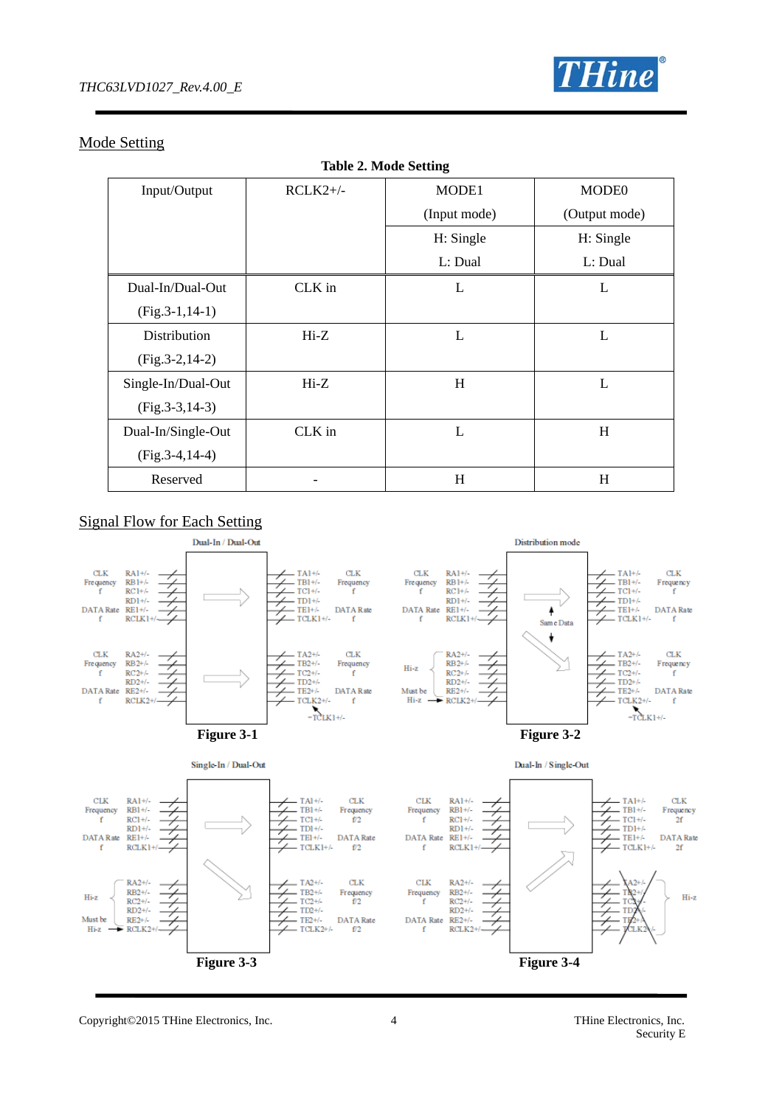

### Mode Setting

| <b>Table 2. Mode Setting</b> |            |              |                   |  |  |  |  |
|------------------------------|------------|--------------|-------------------|--|--|--|--|
| Input/Output                 | $RCLK2+/-$ | MODE1        | MODE <sub>0</sub> |  |  |  |  |
|                              |            | (Input mode) | (Output mode)     |  |  |  |  |
|                              |            | H: Single    | H: Single         |  |  |  |  |
|                              |            | L: Dual      | L: Dual           |  |  |  |  |
| Dual-In/Dual-Out             | CLK in     | L            | L                 |  |  |  |  |
| $(Fig.3-1, 14-1)$            |            |              |                   |  |  |  |  |
| Distribution                 | $Hi-Z$     | L            | L                 |  |  |  |  |
| $(Fig.3-2, 14-2)$            |            |              |                   |  |  |  |  |
| Single-In/Dual-Out           | $Hi-Z$     | H            | $\mathbf{L}$      |  |  |  |  |
| $(Fig.3-3, 14-3)$            |            |              |                   |  |  |  |  |
| Dual-In/Single-Out           | CLK in     | L            | H                 |  |  |  |  |
| $(Fig.3-4, 14-4)$            |            |              |                   |  |  |  |  |
| Reserved                     |            | H            | H                 |  |  |  |  |

### Signal Flow for Each Setting



Copyright©2015 THine Electronics, Inc. 4 THine Electronics, Inc.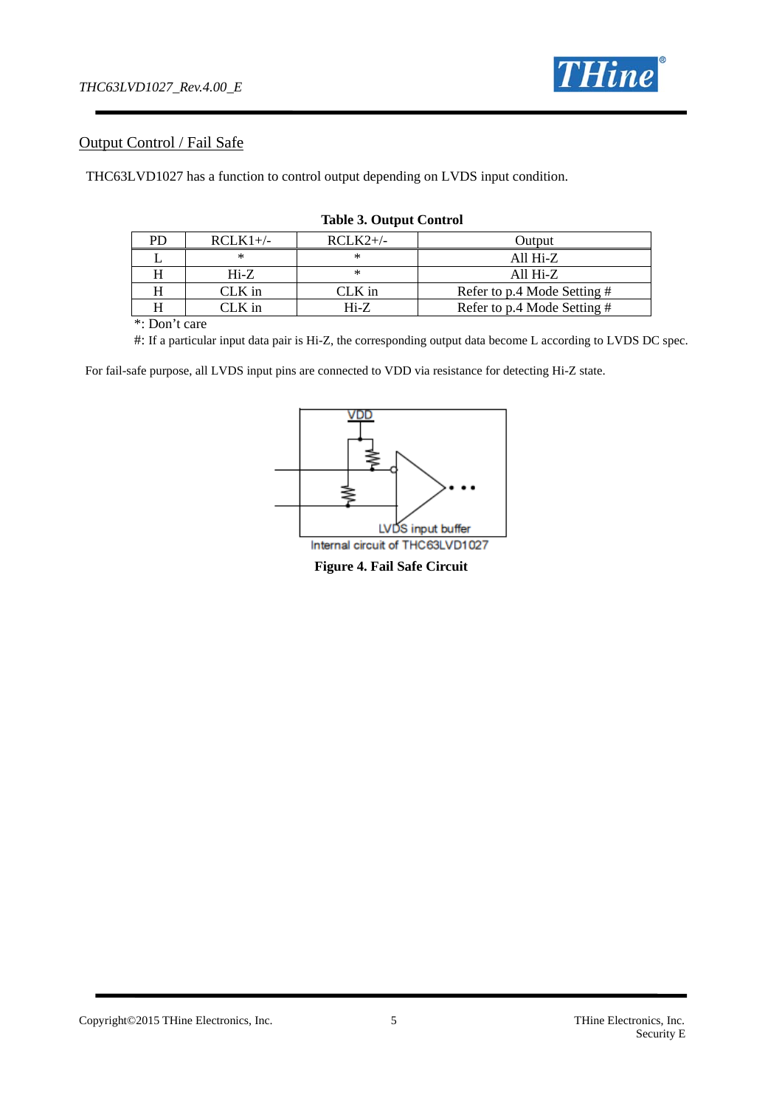

### Output Control / Fail Safe

THC63LVD1027 has a function to control output depending on LVDS input condition.

| $RCLK1+/-$ | $RCLK2+/-$ | Output                      |
|------------|------------|-----------------------------|
|            |            | All $Hi-Z$                  |
| $Hi-Z$     | ∗          | All $Hi-Z$                  |
| $CLK$ in   | $CLK$ in   | Refer to p.4 Mode Setting # |
| CLK in     | $Hi-Z$     | Refer to p.4 Mode Setting # |

#### **Table 3. Output Control**

\*: Don't care

#: If a particular input data pair is Hi-Z, the corresponding output data become L according to LVDS DC spec.

For fail-safe purpose, all LVDS input pins are connected to VDD via resistance for detecting Hi-Z state.



**Figure 4. Fail Safe Circuit**

Copyright©2015 THine Electronics, Inc. 5 THine Electronics, Inc.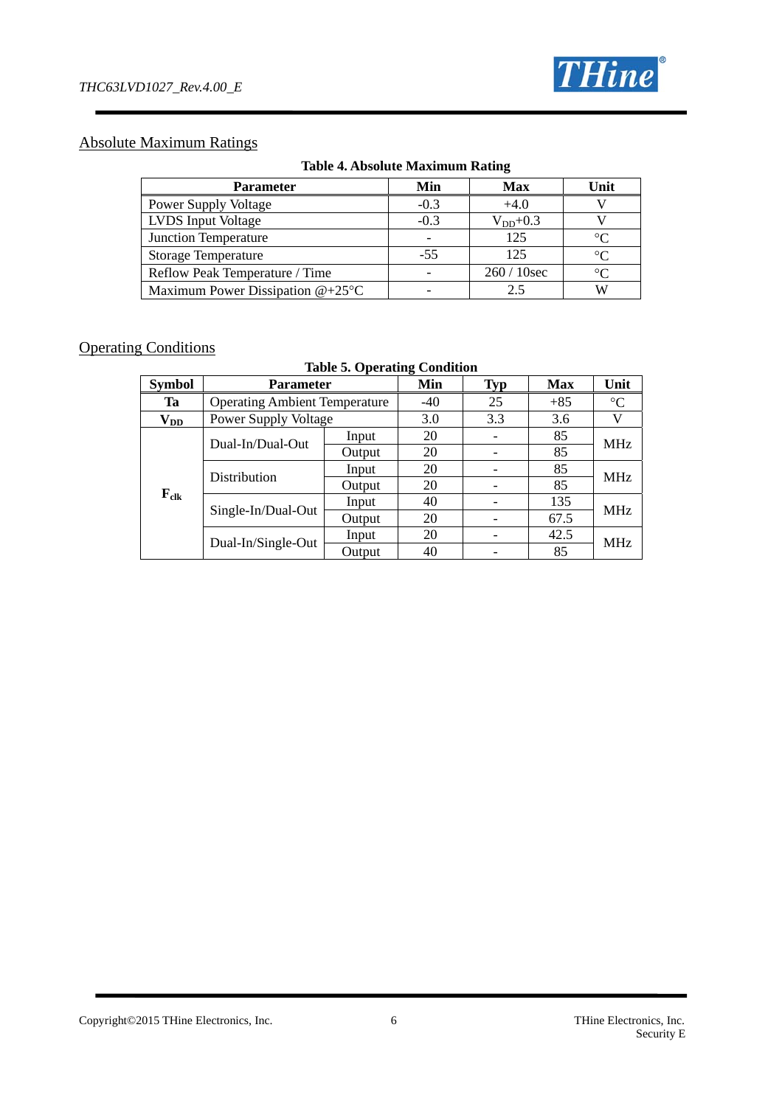

### Absolute Maximum Ratings

|  | <b>Table 4. Absolute Maximum Rating</b> |  |
|--|-----------------------------------------|--|
|  |                                         |  |

| <b>Parameter</b>                   | Min    | <b>Max</b>   | Unit        |
|------------------------------------|--------|--------------|-------------|
| <b>Power Supply Voltage</b>        | $-0.3$ | $+4.0$       |             |
| <b>LVDS</b> Input Voltage          | $-0.3$ | $V_{DD}+0.3$ |             |
| Junction Temperature               |        | 125          | $^{\circ}C$ |
| <b>Storage Temperature</b>         | $-55$  | 125          | $\circ$     |
| Reflow Peak Temperature / Time     |        | $260/10$ sec | $\circ$     |
| Maximum Power Dissipation $@+25°C$ |        | 2.5          |             |

### **Operating Conditions**

**Table 5. Operating Condition** 

| <b>Symbol</b>     |                                      | <b>Parameter</b> |       |     | <b>Max</b> | Unit            |  |
|-------------------|--------------------------------------|------------------|-------|-----|------------|-----------------|--|
| Ta                | <b>Operating Ambient Temperature</b> |                  | $-40$ | 25  | $+85$      | $\rm ^{\circ}C$ |  |
| $\mathbf{V_{DD}}$ | Power Supply Voltage                 |                  | 3.0   | 3.3 | 3.6        |                 |  |
|                   | Dual-In/Dual-Out                     | Input            | 20    |     | 85         |                 |  |
|                   |                                      | Output           | 20    |     | 85         | <b>MHz</b>      |  |
|                   | Distribution                         | Input            | 20    |     | 85         |                 |  |
|                   |                                      | Output           | 20    |     | 85         | <b>MHz</b>      |  |
| $F_{\text{clk}}$  | Single-In/Dual-Out                   | Input            | 40    |     | 135        | <b>MHz</b>      |  |
|                   |                                      | Output           | 20    |     | 67.5       |                 |  |
|                   |                                      | Input            | 20    |     | 42.5       |                 |  |
|                   | Dual-In/Single-Out<br>Output         |                  | 40    |     | 85         | <b>MHz</b>      |  |

#### Copyright©2015 THine Electronics, Inc. 6 THine Electronics, Inc.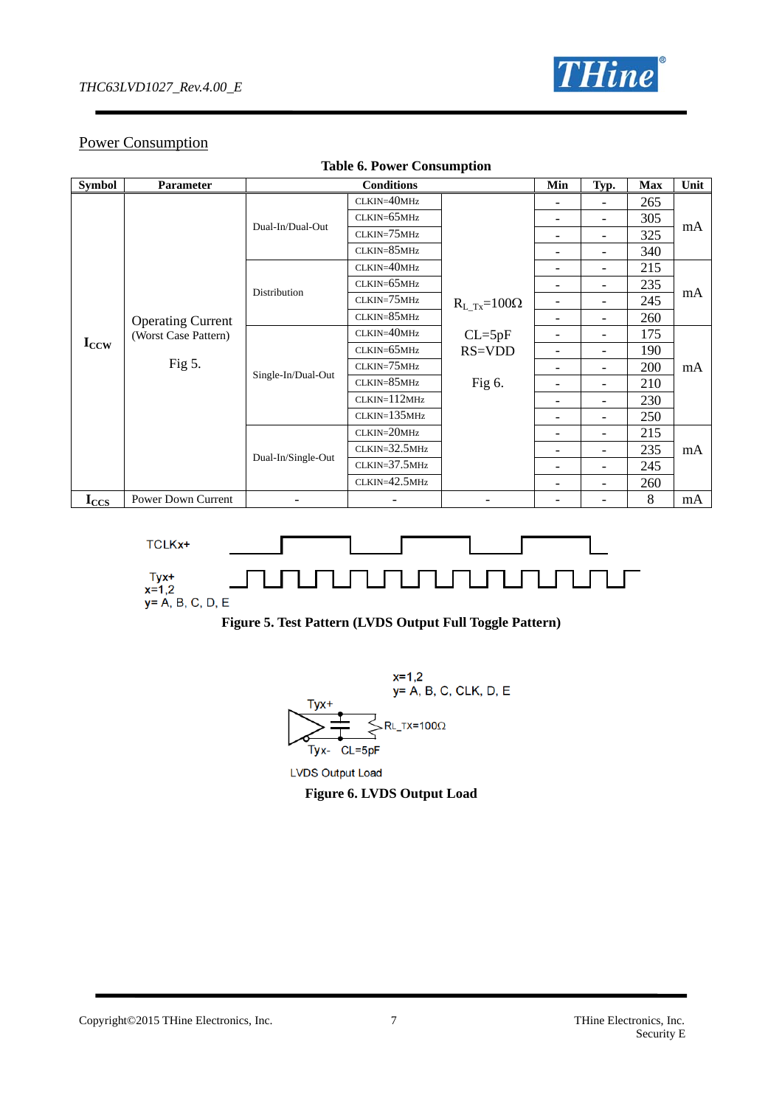

### Power Consumption

| <b>Table 6. Power Consumption</b> |                                                  |                          |                   |                                          |                          |                          |            |      |  |
|-----------------------------------|--------------------------------------------------|--------------------------|-------------------|------------------------------------------|--------------------------|--------------------------|------------|------|--|
| <b>Symbol</b>                     | <b>Parameter</b>                                 |                          | <b>Conditions</b> |                                          | Min                      | Typ.                     | <b>Max</b> | Unit |  |
|                                   |                                                  |                          | CLKIN=40MHz       |                                          |                          |                          | 265        |      |  |
|                                   |                                                  | Dual-In/Dual-Out         | $CLKIN=65MHz$     |                                          |                          | $\overline{\phantom{a}}$ | 305        |      |  |
|                                   |                                                  |                          | $CLKIN=75MHz$     |                                          |                          | $\overline{\phantom{a}}$ | 325        | mA   |  |
|                                   |                                                  |                          | CLKIN=85MHz       |                                          |                          | $\overline{\phantom{a}}$ | 340        |      |  |
|                                   |                                                  |                          | $CLKIN=40MHz$     |                                          |                          | $\overline{\phantom{a}}$ | 215        |      |  |
|                                   |                                                  | Distribution             | $CLKIN=65MHz$     |                                          | $\qquad \qquad$          | Ξ.                       | 235        |      |  |
|                                   | <b>Operating Current</b><br>(Worst Case Pattern) |                          | $CLKIN = 75MHz$   | $R_L$ <sub>Tx</sub> =100 $\Omega$        | $\overline{\phantom{a}}$ | $\overline{\phantom{0}}$ | 245        | mA   |  |
|                                   |                                                  |                          | $CLKIN = 85MHz$   |                                          |                          | $\overline{\phantom{0}}$ | 260        |      |  |
|                                   |                                                  | Single-In/Dual-Out       | CLKIN=40MHz       | $CL = 5pF$<br><b>RS=VDD</b><br>Fig $6$ . |                          | Ξ.                       | 175        | mA   |  |
| $I_{CCW}$                         |                                                  |                          | $CLKIN=65MHz$     |                                          | $\overline{a}$           | $\overline{\phantom{a}}$ | 190        |      |  |
|                                   | Fig $5$ .                                        |                          | $CLKIN=75MHz$     |                                          | $\overline{a}$           | $\overline{\phantom{a}}$ | 200        |      |  |
|                                   |                                                  |                          | CLKIN=85MHz       |                                          | $\overline{a}$           |                          | 210        |      |  |
|                                   |                                                  |                          | CLKIN=112MHz      |                                          |                          | $\overline{a}$           | 230        |      |  |
|                                   |                                                  |                          | $CLKIN=135MHz$    |                                          |                          | $\overline{\phantom{0}}$ | 250        |      |  |
|                                   |                                                  |                          | CLKIN=20MHz       |                                          | $\overline{\phantom{0}}$ | $\overline{\phantom{0}}$ | 215        |      |  |
|                                   |                                                  |                          | $CLKIN = 32.5MHz$ |                                          |                          | $\overline{\phantom{a}}$ | 235        | mA   |  |
|                                   |                                                  | Dual-In/Single-Out       | $CLKIN = 37.5MHz$ |                                          |                          | $\overline{\phantom{a}}$ | 245        |      |  |
|                                   |                                                  |                          | $CLKIN=42.5MHz$   |                                          |                          | $\overline{\phantom{a}}$ | 260        |      |  |
| $I_{CCS}$                         | Power Down Current                               | $\overline{\phantom{a}}$ |                   |                                          |                          |                          | 8          | mA   |  |







**LVDS Output Load** 

**Figure 6. LVDS Output Load**

Copyright©2015 THine Electronics, Inc. 7 7 THine Electronics, Inc.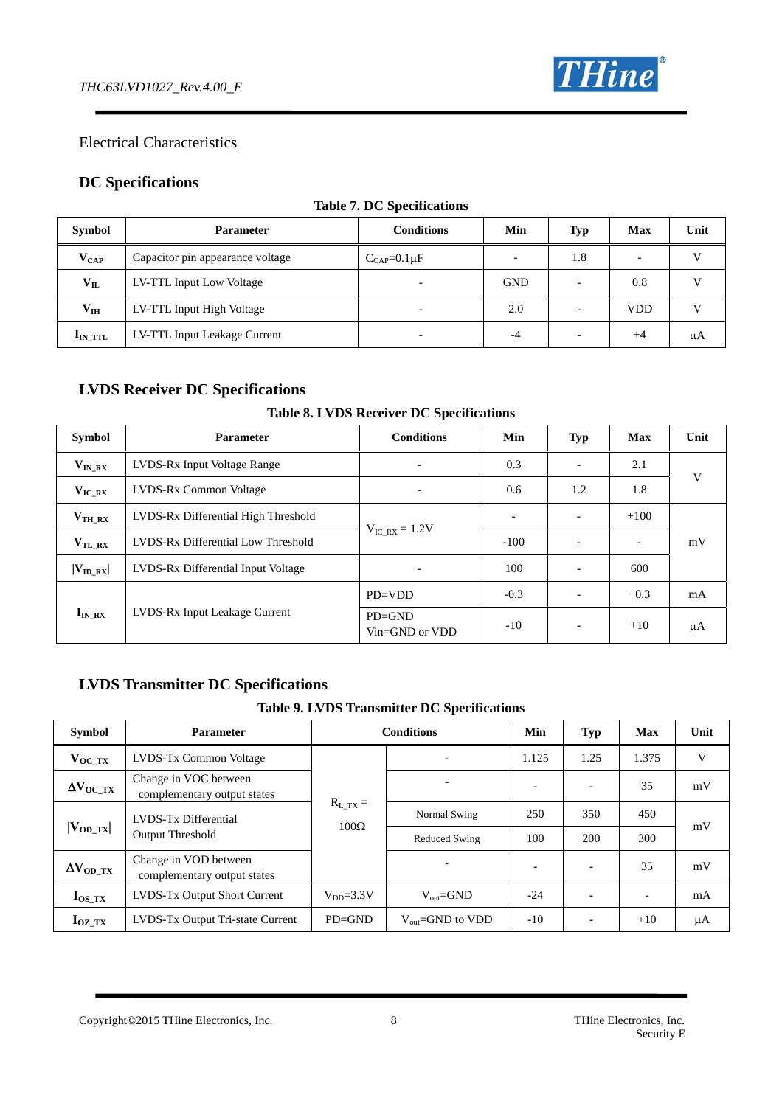

### Electrical Characteristics

### **DC Specifications**

| <b>Symbol</b>            | <b>Parameter</b>                 | <b>Conditions</b>         | Min        | Typ                      | <b>Max</b> | Unit |
|--------------------------|----------------------------------|---------------------------|------------|--------------------------|------------|------|
| $V_{CAP}$                | Capacitor pin appearance voltage | $C_{\text{CAP}}=0.1\mu F$ | -          | 1.8                      |            | v    |
| $V_{IL}$                 | LV-TTL Input Low Voltage         | $\overline{\phantom{a}}$  | <b>GND</b> |                          | 0.8        |      |
| $\mathbf{V}_{\text{IH}}$ | LV-TTL Input High Voltage        |                           | 2.0        | $\overline{\phantom{0}}$ | <b>VDD</b> | v    |
| $I_{IN}$ TTL             | LV-TTL Input Leakage Current     | $\overline{\phantom{a}}$  | -4         | $\overline{\phantom{0}}$ | $+4$       | μA   |

#### **Table 7. DC Specifications**

### **LVDS Receiver DC Specifications**

#### **Table 8. LVDS Receiver DC Specifications**

| <b>Symbol</b>       | <b>Parameter</b>                    | <b>Conditions</b>            | Min                      | Typ                      | <b>Max</b> | Unit |
|---------------------|-------------------------------------|------------------------------|--------------------------|--------------------------|------------|------|
| $V_{IN\_RX}$        | LVDS-Rx Input Voltage Range         | $\qquad \qquad \blacksquare$ | 0.3                      |                          | 2.1        | V    |
| $V_{\text{IC\_RX}}$ | LVDS-Rx Common Voltage              | $\overline{\phantom{a}}$     | 0.6                      | 1.2                      | 1.8        |      |
| $V_{TH RX}$         | LVDS-Rx Differential High Threshold |                              | $\overline{\phantom{0}}$ |                          | $+100$     |      |
| $V_{TL_RX}$         | LVDS-Rx Differential Low Threshold  | $V_{\text{IC RX}} = 1.2V$    | $-100$                   |                          |            | mV   |
| $ V_{ID RX} $       | LVDS-Rx Differential Input Voltage  | $\overline{\phantom{a}}$     | 100                      | $\overline{\phantom{0}}$ | 600        |      |
|                     |                                     | $PD=VDD$                     | $-0.3$                   | $\overline{\phantom{0}}$ | $+0.3$     | mA   |
| $I_{IN RX}$         | LVDS-Rx Input Leakage Current       | $PD = GND$<br>Vin=GND or VDD | $-10$                    | $\overline{\phantom{a}}$ | $+10$      | μA   |

### **LVDS Transmitter DC Specifications**

#### **Table 9. LVDS Transmitter DC Specifications**

| <b>Symbol</b>           | <b>Parameter</b>                                     | <b>Conditions</b> | Min                           | <b>Typ</b> | <b>Max</b>               | Unit  |                          |    |    |
|-------------------------|------------------------------------------------------|-------------------|-------------------------------|------------|--------------------------|-------|--------------------------|----|----|
| $V_{OC_TXX}$            | LVDS-Tx Common Voltage                               |                   | $\overline{\phantom{0}}$      | 1.125      | 1.25                     | 1.375 | V                        |    |    |
| $\Delta V_{\rm OC\_TX}$ | Change in VOC between<br>complementary output states |                   |                               |            |                          | ۰     | $\overline{\phantom{a}}$ | 35 | mV |
|                         | LVDS-Tx Differential                                 | $R_{L_TXX} =$     | Normal Swing                  | 250        | 350                      | 450   | mV                       |    |    |
| $ V_{OD_TX} $           | <b>Output Threshold</b>                              | $100\Omega$       | <b>Reduced Swing</b>          | 100        | 200                      | 300   |                          |    |    |
| $\Delta V_{OD\_TX}$     | Change in VOD between<br>complementary output states |                   |                               |            | $\overline{\phantom{a}}$ | 35    | mV                       |    |    |
| $I_{OS_TX}$             | LVDS-Tx Output Short Current                         | $V_{DD} = 3.3V$   | $V_{\text{out}} = GND$        | $-24$      | $\overline{\phantom{0}}$ |       | mA                       |    |    |
| $I_{OZ_TXX}$            | LVDS-Tx Output Tri-state Current                     | $PD = GND$        | $V_{\text{out}} =$ GND to VDD | $-10$      | $\overline{\phantom{0}}$ | $+10$ | μA                       |    |    |

Copyright©2015 THine Electronics, Inc. 8 THine Electronics, Inc.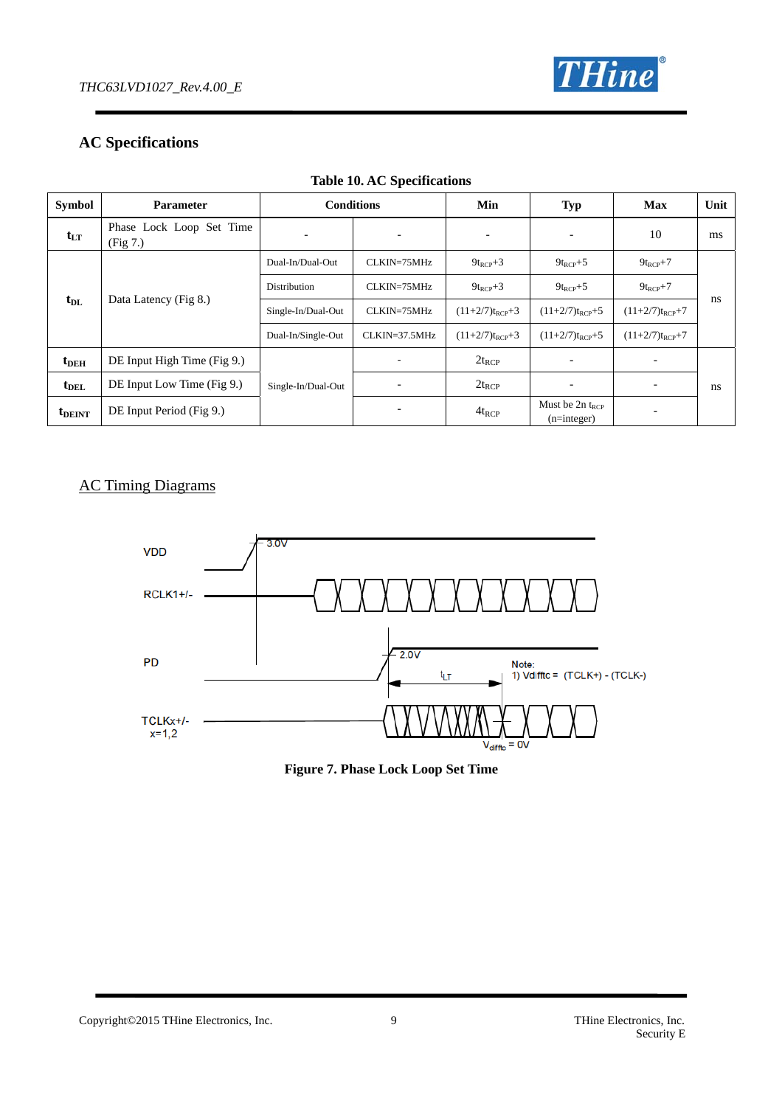

### **AC Specifications**

| <b>Symbol</b>      | <b>Parameter</b>                     | <b>Conditions</b>  |               | Min                 | Typ                                   | <b>Max</b>               | Unit |
|--------------------|--------------------------------------|--------------------|---------------|---------------------|---------------------------------------|--------------------------|------|
| $t_{LT}$           | Phase Lock Loop Set Time<br>(Fig 7.) |                    |               |                     |                                       | 10                       | ms   |
| $t_{\rm DL}$       |                                      | Dual-In/Dual-Out   | CLKIN=75MHz   | $9t_{RCP}+3$        | $9t_{RCP}+5$                          | $9t_{RCP}+7$             |      |
|                    | Data Latency (Fig 8.)                | Distribution       | CLKIN=75MHz   | $9t_{RCP}+3$        | $9t_{RCP}+5$                          | $9t_{RCP}+7$             |      |
|                    |                                      | Single-In/Dual-Out | CLKIN=75MHz   | $(11+2/7)t_{RCP}+3$ | $(11+2/7)t_{RCP}+5$                   | $(11+2/7)t_{RCP}+7$      | ns   |
|                    |                                      | Dual-In/Single-Out | CLKIN=37.5MHz | $(11+2/7)t_{RCP}+3$ | $(11+2/7)t_{RCP}+5$                   | $(11+2/7)t_{RCP}+7$      |      |
| $t_{DEH}$          | DE Input High Time (Fig 9.)          |                    |               | $2t_{RCP}$          |                                       |                          |      |
| $t_{\rm DEL}$      | DE Input Low Time (Fig 9.)           | Single-In/Dual-Out |               | $2t_{RCP}$          |                                       | $\overline{\phantom{a}}$ | ns   |
| t <sub>DEINT</sub> | DE Input Period (Fig 9.)             |                    |               | $4t_{RCP}$          | Must be $2n t_{RCP}$<br>$(n=integer)$ |                          |      |

### **Table 10. AC Specifications**

### AC Timing Diagrams



| <b>Figure 7. Phase Lock Loop Set Time</b> |  |  |  |  |  |  |  |
|-------------------------------------------|--|--|--|--|--|--|--|
|-------------------------------------------|--|--|--|--|--|--|--|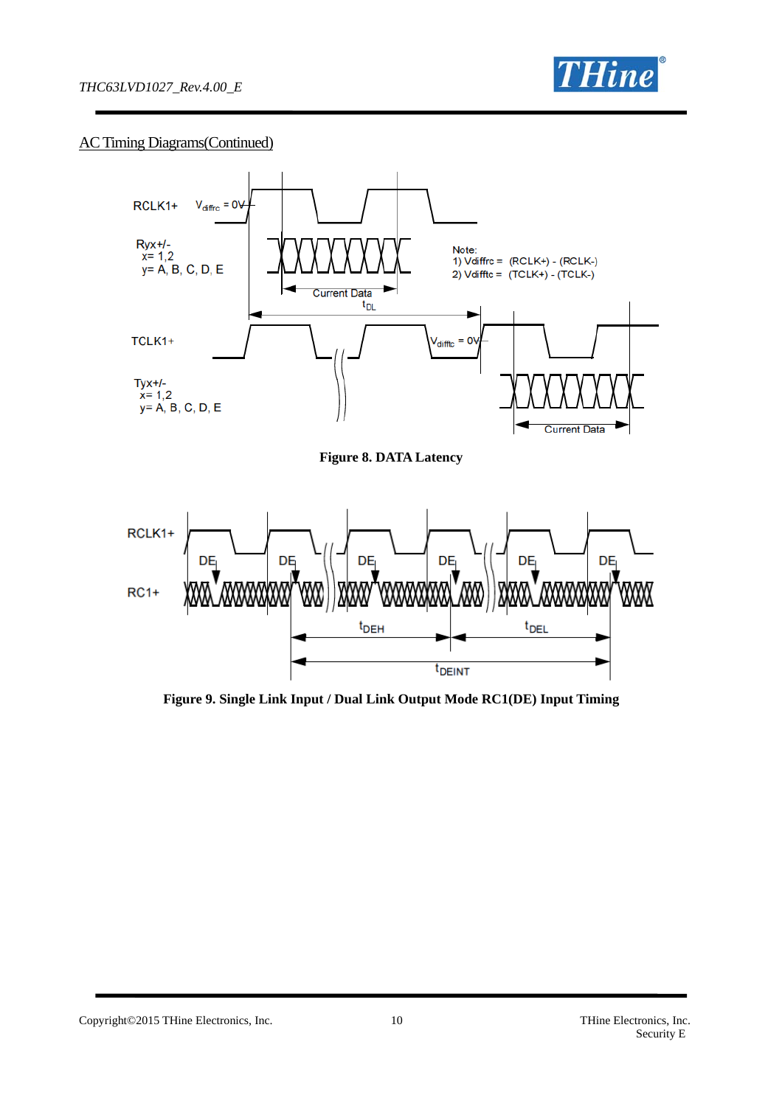

### AC Timing Diagrams(Continued)



**Figure 9. Single Link Input / Dual Link Output Mode RC1(DE) Input Timing** 

Copyright©2015 THine Electronics, Inc. 10 10 THine Electronics, Inc.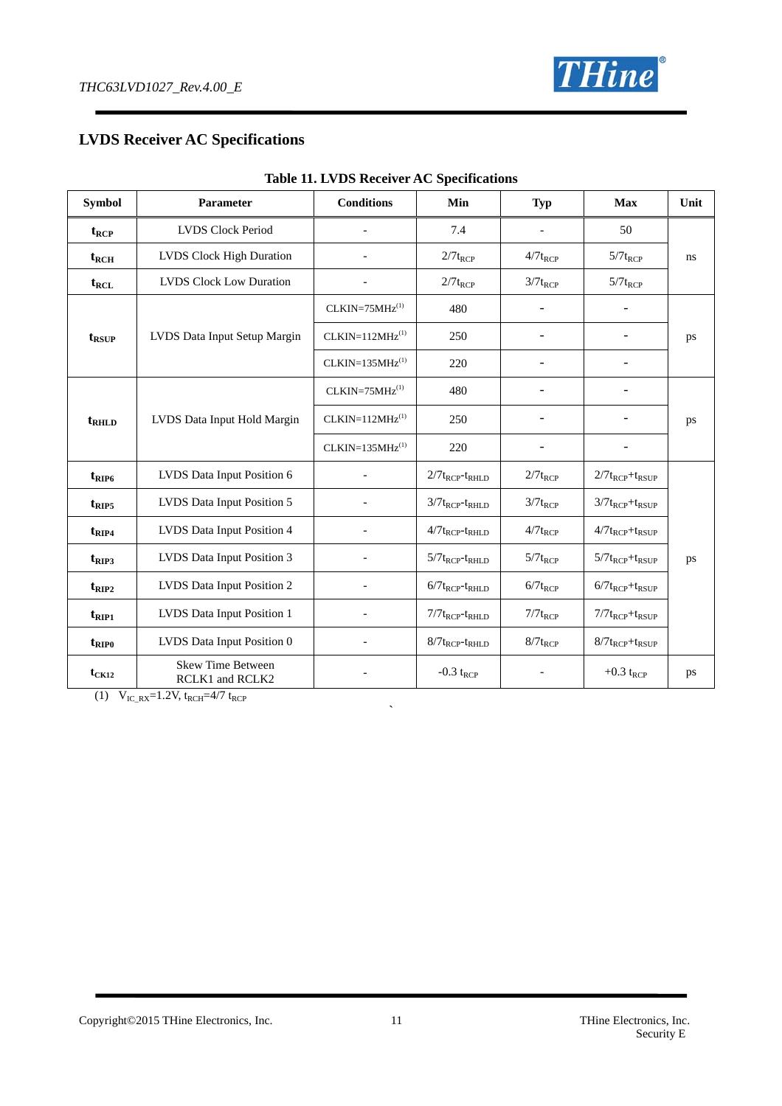

### **LVDS Receiver AC Specifications**

| <b>Symbol</b>    | Parameter                                   | <b>Conditions</b>         | Min                       | <b>Typ</b>               | <b>Max</b>              | Unit |  |
|------------------|---------------------------------------------|---------------------------|---------------------------|--------------------------|-------------------------|------|--|
| $t_{RCP}$        | <b>LVDS Clock Period</b>                    |                           | 7.4                       | $\overline{\phantom{a}}$ | 50                      |      |  |
| $t_{RCH}$        | <b>LVDS</b> Clock High Duration             |                           | $2/7t_{RCP}$              | $4/7t_{RCP}$             | $5/7t_{RCP}$            | ns   |  |
| $t_{\text{RCL}}$ | <b>LVDS Clock Low Duration</b>              |                           | $2/7t_{RCP}$              | $3/7t_{RCP}$             | $5/7t_{RCP}$            |      |  |
|                  |                                             | $CLKIN=75MHz^{(1)}$       | 480                       |                          |                         |      |  |
| $t_{RSUP}$       | LVDS Data Input Setup Margin                | $CLKIN=112MHz(1)$         | 250                       | -                        |                         | ps   |  |
|                  |                                             | $CLKIN=135MHz(1)$         | 220                       |                          | $\overline{a}$          |      |  |
|                  |                                             | $CLKIN=75MHz(1)$          | 480                       |                          | $\overline{a}$          |      |  |
| $t_{RHLD}$       | LVDS Data Input Hold Margin                 | $CLKIN=112MHz(1)$         | 250                       | -                        | $\overline{a}$          | ps   |  |
|                  |                                             | $CLKIN=135MHz^{(1)}$      | 220                       |                          | $\overline{a}$          |      |  |
| $t_{RIP6}$       | LVDS Data Input Position 6                  |                           | $2/7t_{RCP}$ - $t_{RHLD}$ | $2/7t_{RCP}$             | $2/7t_{RCP}+t_{RSUP}$   |      |  |
| $t_{RIP5}$       | LVDS Data Input Position 5                  |                           | $3/7t_{RCP}$ - $t_{RHLD}$ | $3/7t_{RCP}$             | $3/7t_{RCP}+t_{RSUP}$   |      |  |
| $t_{\rm RIP4}$   | LVDS Data Input Position 4                  |                           | $4/7t_{RCP}$ - $t_{RHLD}$ | $4/7t_{RCP}$             | $4/7t_{RCP}+t_{RSUP}$   |      |  |
| $t_{\rm RIP3}$   | LVDS Data Input Position 3                  |                           | $5/7t_{RCP}$ - $t_{RHLD}$ | $5/7t_{RCP}$             | $5/7t_{RCP}+t_{RSUP}$   | ps   |  |
| $t_{\rm RIP2}$   | LVDS Data Input Position 2                  | $6/7t_{RCP}$ - $t_{RHLD}$ |                           | $6/7t_{RCP}$             | $6/7t_{RCP}+t_{RSUP}$   |      |  |
| $t_{\rm RIP1}$   | LVDS Data Input Position 1                  |                           | $7/7t_{RCP}$ - $t_{RHLD}$ | $7/7t_{RCP}$             | $7/7t_{RCP}+t_{RSUP}$   |      |  |
| $t_{RIP0}$       | LVDS Data Input Position 0                  |                           | $8/7t_{RCP}$ - $t_{RHLD}$ | $8/7t_{RCP}$             | $8/7t_{RCP}+t_{RSUP}$   |      |  |
| $t_{CK12}$       | <b>Skew Time Between</b><br>RCLK1 and RCLK2 |                           | -0.3 ${\rm t_{RCP}}$      |                          | $+0.3$ t <sub>RCP</sub> | ps   |  |

 $\ddot{\phantom{0}}$ 

#### **Table 11. LVDS Receiver AC Specifications**

(1)  $V_{IC_RX}=1.2V$ ,  $t_{RCH}=4/7$   $t_{RCP}$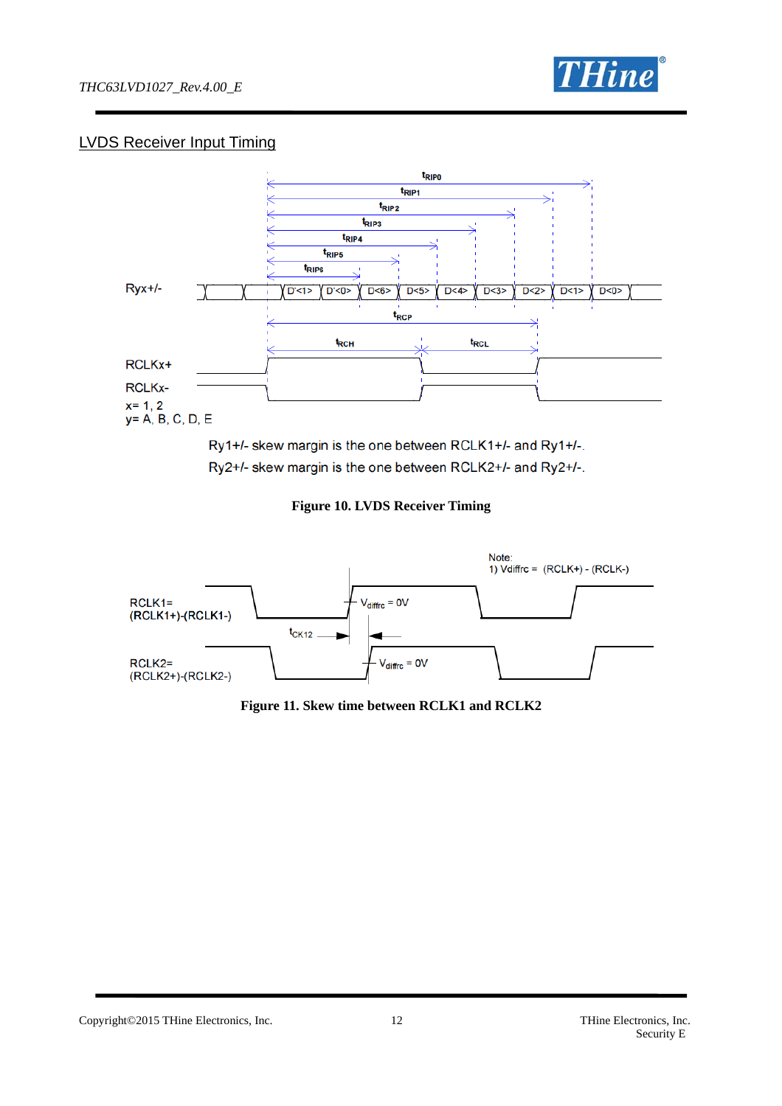

### LVDS Receiver Input Timing



Ry1+/- skew margin is the one between RCLK1+/- and Ry1+/-. Ry2+/- skew margin is the one between RCLK2+/- and Ry2+/-.

**Figure 10. LVDS Receiver Timing** 



**Figure 11. Skew time between RCLK1 and RCLK2**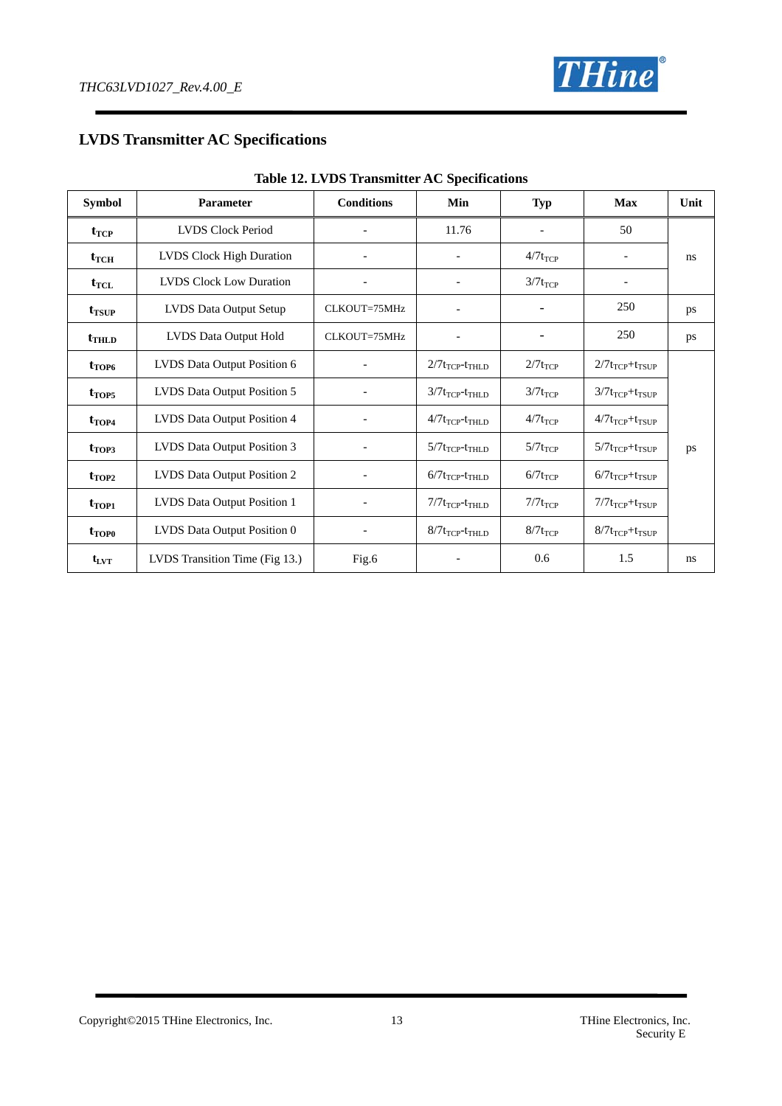

### **LVDS Transmitter AC Specifications**

| rabic 12. Dy Do Transmitter AC opeenications |                                 |                   |                                             |                                       |                          |      |  |  |
|----------------------------------------------|---------------------------------|-------------------|---------------------------------------------|---------------------------------------|--------------------------|------|--|--|
| <b>Symbol</b>                                | <b>Parameter</b>                | <b>Conditions</b> | Min                                         | <b>Typ</b>                            | <b>Max</b>               | Unit |  |  |
| $t_{TCP}$                                    | <b>LVDS Clock Period</b>        |                   | 11.76                                       |                                       | 50                       |      |  |  |
| $t_{TCH}$                                    | <b>LVDS</b> Clock High Duration |                   |                                             | $4/7t_{TCP}$                          | $\overline{\phantom{a}}$ | ns   |  |  |
| $t_{\text{TCL}}$                             | <b>LVDS Clock Low Duration</b>  |                   |                                             | $3/7t_{TCP}$                          |                          |      |  |  |
| $t_{TSUP}$                                   | LVDS Data Output Setup          | CLKOUT=75MHz      | $\overline{a}$                              |                                       | 250                      | ps   |  |  |
| $t$ <sub>THLD</sub>                          | LVDS Data Output Hold           | CLKOUT=75MHz      |                                             |                                       | 250                      | ps   |  |  |
| $t_{\text{TOP6}}$                            | LVDS Data Output Position 6     |                   | $2/7t_{TCP}$ - $t_{THLD}$                   | $2/7t_{TCP}$                          | $2/7t_{TCP}+t_{TSUP}$    |      |  |  |
| $t_{TOP5}$                                   | LVDS Data Output Position 5     |                   | $3/7t_{TCP}$ - $t_{THLD}$                   | $3/7t_{TCP}$                          | $3/7t_{TCP}+t_{TSUP}$    |      |  |  |
| $t_{\text{TOP4}}$                            | LVDS Data Output Position 4     |                   | $4/7t_{TCP}$ - $t_{THLD}$                   | $4/7t_{TCP}$                          | $4/7t_{TCP}+t_{TSUP}$    |      |  |  |
| $t_{TOP3}$                                   | LVDS Data Output Position 3     |                   | $5/7t$ <sub>TCP</sub> - $t$ <sub>THLD</sub> | $5/7t_{TCP}$<br>$5/7t_{TCP}+t_{TSUP}$ |                          | ps   |  |  |
| $t_{\text{TOP2}}$                            | LVDS Data Output Position 2     |                   | $6/7$ t <sub>TCP</sub> -t <sub>THLD</sub>   | $6/7t_{TCP}$                          | $6/7t_{TCP}+t_{TSUP}$    |      |  |  |
| $t_{TOP1}$                                   | LVDS Data Output Position 1     |                   | $7/7t_{TCP}$ - $t_{THLD}$                   | $7/7t_{TCP}$                          | $7/7t_{TCP}+t_{TSUP}$    |      |  |  |
| $t_{\text{TOP}0}$                            | LVDS Data Output Position 0     |                   | $8/7t_{TCP}$ - $t_{THLD}$                   | $8/7t_{TCP}$                          | $8/7t_{TCP}+t_{TSUP}$    |      |  |  |
| $t_{\rm LVT}$                                | LVDS Transition Time (Fig 13.)  | Fig.6             |                                             | 0.6                                   | 1.5                      | ns   |  |  |

#### **Table 12. LVDS Transmitter AC Specifications**

Copyright©2015 THine Electronics, Inc. 13 THine Electronics, Inc.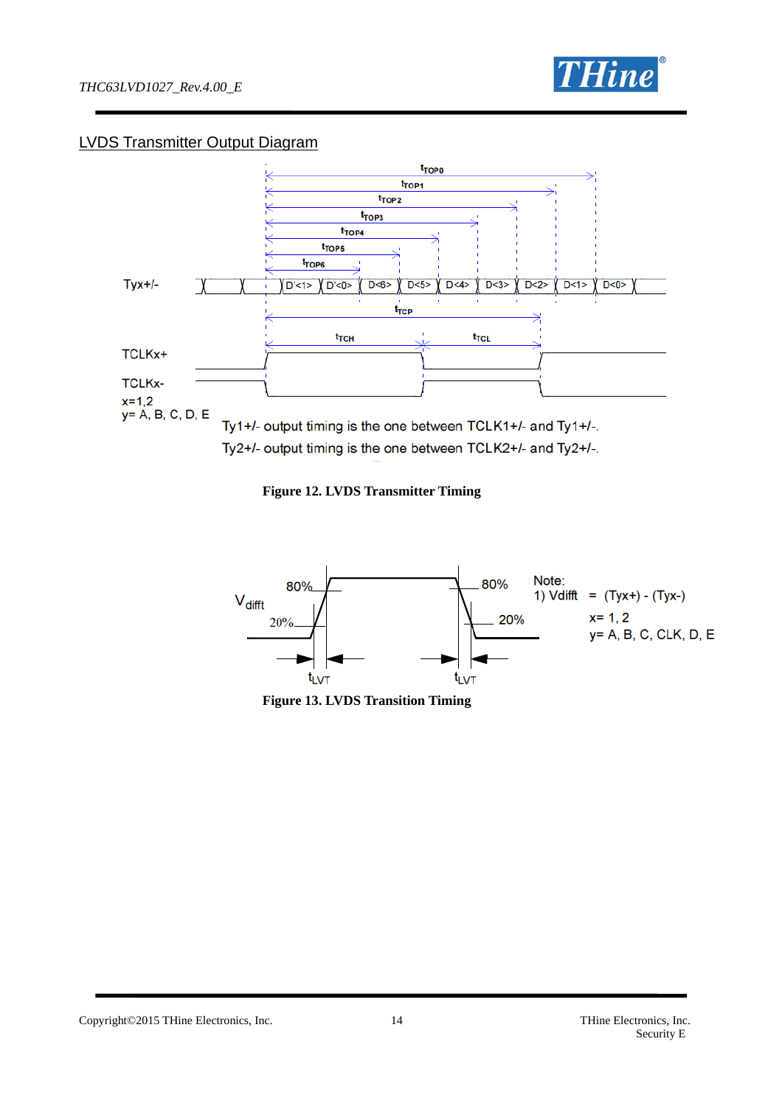

### LVDS Transmitter Output Diagram



**Figure 12. LVDS Transmitter Timing** 



**Figure 13. LVDS Transition Timing** 

Copyright©2015 THine Electronics, Inc. 14 THine Electronics, Inc.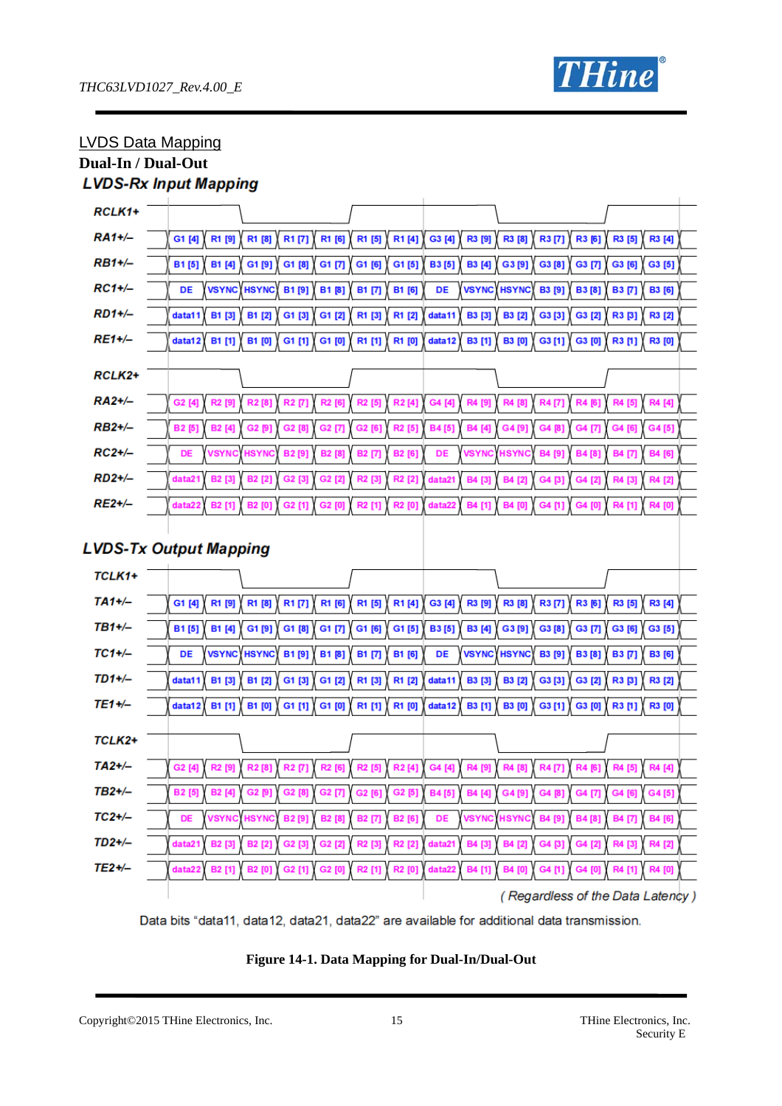

### LVDS Data Mapping

### **Dual-In / Dual-Out**

## **LVDS-Rx Input Mapping**

| RCLK1+      |                                                                                      |                                          |                                                                      |                                |
|-------------|--------------------------------------------------------------------------------------|------------------------------------------|----------------------------------------------------------------------|--------------------------------|
|             |                                                                                      |                                          |                                                                      |                                |
| RA1+/-      | R1 [6]<br>G1 [4]<br>R1 [9]<br>R1 [8]<br>R1 [7]                                       | R1 [5]<br>R1[4]                          | G3 [4]<br>R3 [9]<br>R3 [8]<br>R3[6]<br>R3[7]                         | R3 [5]<br>R3 [4]               |
| $RB1+/-$    | B1 [4]<br>G1 [8]<br>G1 [7]<br><b>B1[5]</b><br>G1[9]                                  | G1 [6]<br>G1[5]                          | <b>B3[5]</b><br><b>B3</b> [4]<br>G3[9]<br>G3 [8]<br>G3 [7]           | G3 [6]<br>G3 [5]               |
| $RC1+/-$    | <b>VSYNC HSYNC</b><br>B1[9]<br>B1[8]<br>DE                                           | B1 [7]<br><b>B1 [6]</b>                  | DE<br><b>VSYNC</b><br><b>HSYNC</b><br><b>B3</b> [9]<br><b>B3</b> [8] | <b>B3 [7]</b><br><b>B3</b> [6] |
| $RD1+/-$    | <b>B1 [3]</b><br><b>B1 [2]</b><br>data11<br>G1 [3]<br>G1 [2]                         | R1 [3]<br>R1 [2]                         | data11<br><b>B3</b> [3]<br>G3 [2]<br><b>B3</b> [2]<br>G3 [3]         | R3 [3]<br><b>R3 [2]</b>        |
| $RE1+/-$    | <b>B1 [1]</b><br><b>B1 [0]</b><br>G1 [1]<br>G1 [0]<br>data12                         | R1 [1]<br>R1 [0]                         | data12<br><b>B3</b> [1]<br><b>B3 [0]</b><br>G3 [1]<br>G3 [0]         | R3[1]<br><b>R3</b> [0]         |
|             |                                                                                      |                                          |                                                                      |                                |
| RCLK2+      |                                                                                      |                                          |                                                                      |                                |
| RA2+/-      | R2 [9]<br>R2 [6]<br>G2 [4]<br>R <sub>2</sub> [8]<br><b>R2 [7]</b>                    | R2 [5]<br>R <sub>2</sub> [4]             | G4 [4]<br>R4 [8]<br>R4 [9]<br><b>R4[7]</b><br>R4 [6]                 | R4 [4]<br>R4 [5]               |
| RB2+/-      | G <sub>2</sub> [7]<br><b>B2</b> [5]<br><b>B2</b> [4]<br>G2 [9]<br>G2 [8]             | R <sub>2</sub> [5]<br>G2 [6]             | B4[5]<br><b>B4</b> [4]<br>G4[9<br>G4 [8]<br>G4 [7]                   | G4[5]<br>G4 [6]                |
| $RC2+/-$    | <b>VSYNC</b><br><b>HSYNC</b><br><b>B2[9]</b><br><b>B2</b> [8]<br>DE                  | B2 [6]<br><b>B2 [7]</b>                  | DE<br><b>VSYNC</b><br><b>HSYNC</b><br>B4 [9]<br>B4[8]                | <b>B4 [7]</b><br>B4 [6]        |
| RD2+/-      | data21<br>B2 [3]<br>B <sub>2</sub> [2]<br>G2 [3]<br>G2 [2]                           | R <sub>2</sub> [2]<br>R2 [3]             | data21<br>B4 [3]<br><b>B4</b> [2]<br>G4 [3]<br>G4 [2]                | R4 [2]<br>R4 [3]               |
| RE2+/-      | <b>B2</b> [1]<br><b>B2</b> [0]<br>G2 [1]<br>G2 [0]<br>data22                         | R <sub>2</sub> [0]<br>R <sub>2</sub> [1] | <b>B4</b> [1]<br><b>B4 [0</b><br>data22<br>G4 [1]<br>G4 [0]          | R4 [0]<br>R4 [1]               |
|             |                                                                                      |                                          |                                                                      |                                |
|             | <b>LVDS-Tx Output Mapping</b>                                                        |                                          |                                                                      |                                |
| TCLK1+      |                                                                                      |                                          |                                                                      |                                |
| $TA1+/-$    | R1 [9]<br>R1 [8]<br>R1[7]<br>R1 [6]<br>$G1$ [4]                                      | R1 [5] R1 [4]                            | G3 [4]<br>R3 [9]<br>R3[8]<br>R3 [7] $X$ R3 [6]                       | R3 [5]<br>R3 [4]               |
| $TB1 + / -$ | <b>B1[5]</b><br>B1 [4]<br>G1[9]<br>G1 [8]<br>G1 [7]                                  | G1 [6]<br>G1 [5]                         | <b>B3[5]</b><br><b>B3 [4]</b><br>G3[9]<br>G3 [8]<br>G3 [7]           | G3 [6]<br>G3 [5]               |
| $TC1+/-$    | VSYNC HSYNC<br>B1[9]<br><b>B1 [8]</b><br>DE                                          | B1 [7]<br>B1 [6]                         | DE<br><b>VSYNC</b><br><b>HSYNC</b><br><b>B3</b> [9]<br><b>B3[8]</b>  | <b>B3 [7]</b><br><b>B3</b> [6] |
| $TD1+/-$    | B1 [3]<br>data11<br><b>B1 [2]</b><br>G1 [3]<br>G1 [2]                                | R1 [3]<br>R1 [2]                         | data11<br><b>B3 [3]</b><br><b>B3</b> [2]<br>G3 [3]<br>G3 [2]         | R3 [3]<br>R3 [2]               |
| TE1+/-      | B1 [1]<br><b>B1 [0]</b><br>G1 [1]<br>G1 [0]<br>data12                                | R1 [1] \ R1 [0]                          | data12<br>B3 [1]<br><b>B3</b> [0]<br>$G3$ [1]<br>G3 [0]              | R3[1]<br>R3 [0]                |
|             |                                                                                      |                                          |                                                                      |                                |
| TCLK2+      |                                                                                      |                                          |                                                                      |                                |
| $TA2+/-$    | R <sub>2</sub> [9]<br>G2 [4]<br><b>R2</b> [8]<br><b>R2 [7]</b><br>R <sub>2</sub> [6] | R <sub>2</sub> [4]<br>R <sub>2</sub> [5] | R4 [9]<br>R4 [7]<br>G4 [4]<br><b>R4 [8]</b><br>R4 [6]                | R4 [4]<br>R4 [5]               |
| TB2+/–      | B2 [5] B2 [4] G2 [9] G2 [8] G2 [7] G2 [6] G2 [5] Y                                   |                                          | B4 [5] B4 [4] G4 [9] G4 [8] G4 [7]                                   | G4 [6] G4 [5]                  |
| $TC2+/-$    | <b>VSYNC</b><br><b>HSYNC</b><br><b>B2</b> [9]<br><b>B2</b> [8]<br>DE                 | B2 [7]<br>B2 [6]                         | <b>VSYNC</b> HSYNC<br>DE<br>B4 [9]<br>B4[8]                          | B4 [7]<br>B4 [6]               |
| $TD2+/-$    | <b>B2</b> [3]<br><b>B2</b> [2]<br>G2 [3]<br>G2 [2]<br>data21                         | R <sub>2</sub> [2]<br>R2 [3]             | data21<br>B4 [3]<br>B4 [2]<br>G4 [3]<br>G4 [2]                       | R4 [3]<br>R4 [2]               |
| $TE2+/-$    | data22<br><b>B2</b> [1]<br><b>B2</b> [0]<br>G2 [1]<br>G2 [0]                         | R2 [1]<br>R2 [0]                         | data22<br>B4 [1]<br><b>B4 [0]</b><br>G4 [1]<br>G4 [0]                | R4 [1]<br>R4 [0]               |

Data bits "data11, data12, data21, data22" are available for additional data transmission.



Copyright©2015 THine Electronics, Inc. 15 THine Electronics, Inc.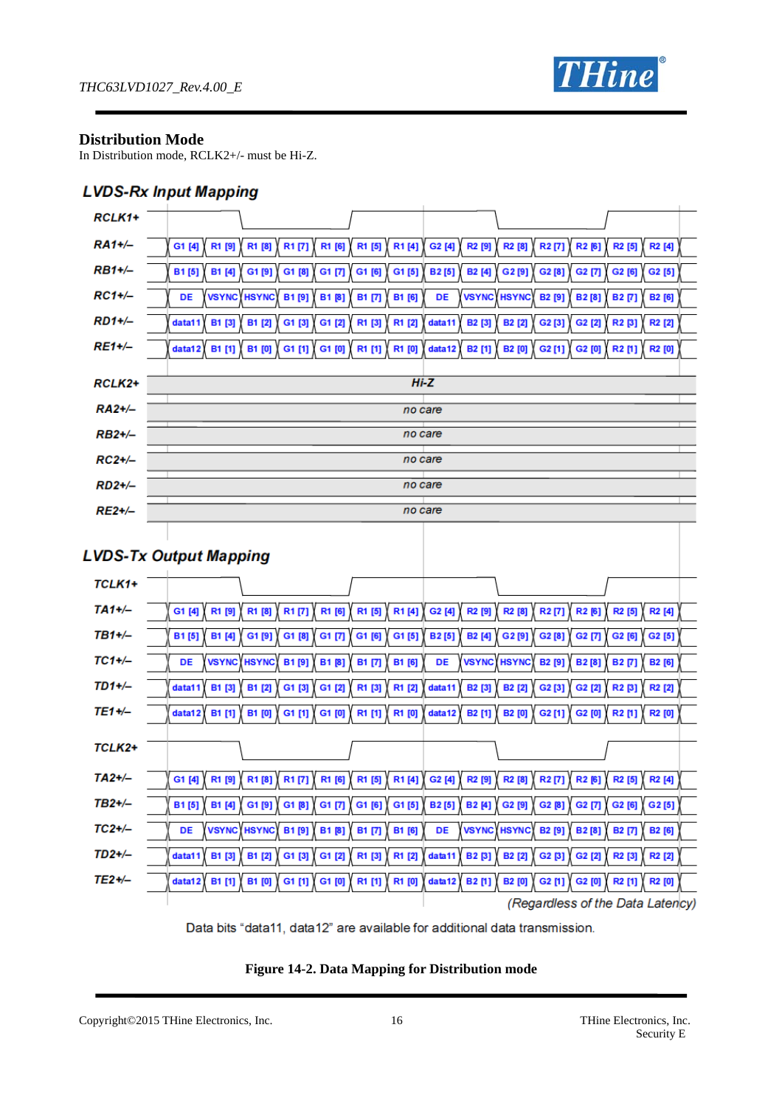

#### **Distribution Mode**

In Distribution mode, RCLK2+/- must be Hi-Z.

### **LVDS-Rx Input Mapping**

| RCLK1+        |                                                                                                                                                                                                             |
|---------------|-------------------------------------------------------------------------------------------------------------------------------------------------------------------------------------------------------------|
| $RA1+/-$      | R1 [8]<br>R1 [6]<br>R1 [5]<br>R1[4]<br>R2 [9]<br>R2[6]<br>R1 [9]<br>R1 [7]<br>G2 [4]<br>R <sub>2</sub> [8]<br>R <sub>2</sub> [7]<br>R2 [5]<br>R <sub>2</sub> [4]<br>G1 [4]                                  |
| <b>RB1+/-</b> | B1[5]<br>B1 [4]<br>G1[9]<br>G1 [8]<br>G1 [7]<br>G1[5]<br><b>B2[5]</b><br>G2 [7]<br>G1 [6]<br><b>B2</b> [4]<br>G2[9]<br>G2 [8]<br>G2 [6]<br>G2 [5]                                                           |
| $RC1+/-$      | <b>VSYNC HSYNC</b><br>B1 [6]<br><b>VSYNC</b><br><b>HSYNC</b><br>DE<br><b>B1[9]</b><br>B1[8]<br>B1 [7]<br>DE<br><b>B2</b> [9]<br><b>B2</b> [8]<br><b>B2 [7]</b><br>B2 [6]                                    |
| $RD1+/-$      | R1 [2]<br>data11<br><b>B1 [3]</b><br>B1 [2]<br>G1 [3]<br>G1 [2]<br>R1 [3]<br>data11<br>B <sub>2</sub> [3]<br><b>B2</b> [2]<br>$G2$ [3]<br>G2 [2]<br>R2 [3]<br>R <sub>2</sub> [2]                            |
| $RE1 + / -$   | R1 [0]<br><b>B1</b> [1]<br><b>B1 [0]</b><br>G1 [1]<br>G1 [0]<br>$R1$ [1]<br>data12<br><b>B2</b> [1]<br><b>B2</b> [0]<br>$G2$ [1]<br>data12<br>G2 [0]<br>R2[1]<br><b>R2</b> [0]                              |
|               |                                                                                                                                                                                                             |
| RCLK2+        | $Hi-Z$                                                                                                                                                                                                      |
| $RA2+/-$      | no care                                                                                                                                                                                                     |
| $RB2+/-$      | no care                                                                                                                                                                                                     |
| $RC2+/-$      | no care                                                                                                                                                                                                     |
| $RD2+/-$      | no care                                                                                                                                                                                                     |
| $RE2+/-$      | no care                                                                                                                                                                                                     |
|               |                                                                                                                                                                                                             |
|               | <b>LVDS-Tx Output Mapping</b>                                                                                                                                                                               |
| TCLK1+        |                                                                                                                                                                                                             |
| $TA1+/-$      | R1 [6]<br>G1 [4]<br>R1 [9]<br>R1 [8]<br>R1[7]<br>R1 [5]<br>R1[4]<br>G2 [4]<br>R2 [9]<br>R <sub>2</sub> [8]<br>R <sub>2</sub> [7]<br>R2[6]<br>R2 [5]<br>R <sub>2</sub> [4]                                   |
| $TB1+/-$      | B1[5]<br>B1 [4]<br>G1[9]<br>G1 [8]<br>G1 [7]<br>G1 [6]<br>G1[5]<br><b>B2[5]</b><br>G2[9]<br>G2[8]<br>G2 [7]<br>B2 [4]<br>G2 [6]<br>G2 [5]                                                                   |
| $TC1+/-$      | <b>VSYNC</b><br><b>HSYNC</b><br>B1[9]<br>B1 [6]<br><b>VSYNC</b><br><b>HSYNC</b><br>DE<br><b>B1 [8]</b><br>B1 [7]<br>DE<br><b>B2</b> [9]<br><b>B2</b> [8]<br><b>B2 [7]</b><br><b>B2</b> [6]                  |
| $TD1+/-$      | R1 [2]<br><b>B1 [3]</b><br>B1 [2]<br>G1 [3]<br>R1 [3]<br>data11<br><b>B2</b> [3]<br><b>B2</b> [2]<br>G2[3]<br>G2 [2]<br>R2 [3]<br>R <sub>2</sub> [2]<br>data11<br>G1 [2]                                    |
| TE1+/-        | data12<br>B1 [1]<br>B1 [0]<br>G1 [1]<br>G1 [0]<br>R1 [1]<br>R1 [0]<br>B2 [1]<br><b>B2</b> [0]<br>G2[1]<br>G2 [0]<br>R2[1]<br><b>R2 [0]</b><br>data12                                                        |
|               |                                                                                                                                                                                                             |
| TCLK2+        |                                                                                                                                                                                                             |
| $TA2+/-$      | R1 [9]<br>R1[8]<br>R1[7]<br>R1[4]<br>G <sub>2</sub> [4] $\langle$<br>R <sub>2</sub> [8]<br>G1 [4]<br>R1 [6]<br>R1 [5]<br>R2 [9]<br>R <sub>2</sub> [7]<br>R <sub>2</sub> [6]<br>R <sub>2</sub> [5]<br>R2 [4] |
| $TB2+/-$      | $G1$ [8]<br>G1[5]<br><b>B2[5]</b><br>G2 $[8]$<br>G2 [7]<br>G <sub>2</sub> [5]<br>B1[5]<br>B1 [4]<br>G1 [9] $\langle$<br>G1 [7]<br>G1 $[6]$<br>B <sub>2[4]</sub><br>G <sub>2</sub> [9] $\langle$<br>G2 [6]   |
| $TC2+/-$      | VSYNC HSYNC B1 [9]<br>VSYNC HSYNC<br>DE<br>B1 [8]<br>B1 [7]<br>B1 [6]<br>DE<br>B2 [9]<br>B2[8]<br>B2 [7]<br>B2 [6]                                                                                          |
| $TD2+/-$      | B1 [3]<br>G1 [2]<br>R1 [3]<br>R1 [2]<br>data11<br><b>B2 [3]</b><br>G2 [2]<br>R2 [2]<br>data11<br>B1 [2]<br>G1 [3]<br><b>B2</b> [2]<br>G2 [3]<br>R2 [3]                                                      |
| $TE2+/-$      | B1 [1]<br><b>B1 [0]</b><br>G1 [0]<br>R1 [1]<br>data12<br>data12                                                                                                                                             |
|               | G1 [1]<br>R1 [0]<br>B2[1]<br><b>B2</b> [0]<br>G2 $[1]$<br>G2 [0]<br>R2 [1]<br>R2 [0]<br>(Regardless of the Data Latency)                                                                                    |
|               |                                                                                                                                                                                                             |



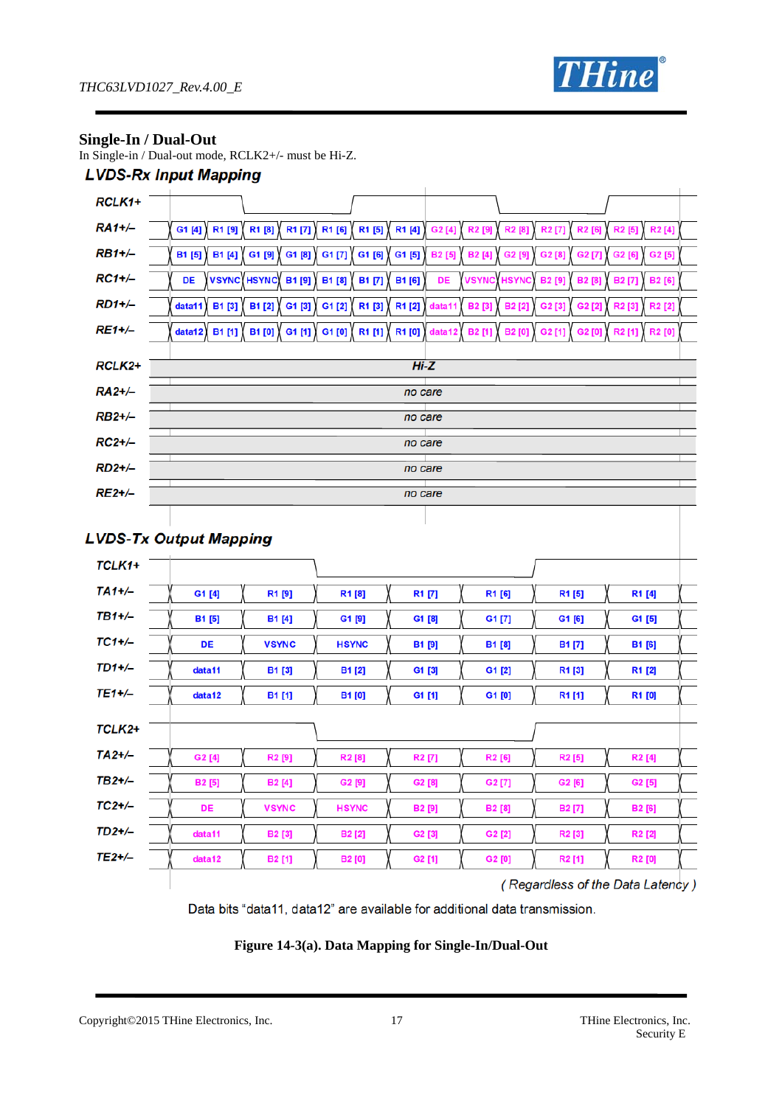

### **Single-In / Dual-Out**

In Single-in / Dual-out mode, RCLK2+/- must be Hi-Z.

### **LVDS-Rx Input Mapping**

| RCLK1+        |                               |                                    |                         |                    |                               |                                |                                          |  |
|---------------|-------------------------------|------------------------------------|-------------------------|--------------------|-------------------------------|--------------------------------|------------------------------------------|--|
| <b>RA1+/-</b> | G1 [4]<br>R1 [9]              | R1 [7]<br>R1 [8]                   | R1 [6]<br>R1 [5]        | R1 [4]<br>G2 [4]   | R2 [9]<br>R <sub>2</sub> [8]  | R <sub>2</sub> [7]<br>R2 [6]   | R <sub>2</sub> [5]<br>R <sub>2</sub> [4] |  |
| $RB1+/-$      | <b>B1</b> [5]<br>B1 [4]       | G1 [9]<br>G1[8]                    | G1 [7]<br>G1 [6]        | G1 [5]<br>B2 [5]   | <b>B2</b> [4]<br>G2 [9]       | G2 [7]<br>G2 [8]               | G2 [5]<br>G2 [6]                         |  |
| $RC1+/-$      | DE                            | <b>VSYNC HSYNC</b><br><b>B1[9]</b> | B1 [8]<br><b>B1 [7]</b> | B1 [6]<br>DE       | <b>VSYNC</b><br><b>HSYNC</b>  | <b>B2</b> [9]<br><b>B2</b> [8] | <b>B2[7</b><br>B2 [6]                    |  |
| <b>RD1+/-</b> | <b>B1 [3]</b><br>data11       | B1 [2]<br>G1 [3]                   | R1 [3]<br>G1 [2]        | R1 [2]<br>data11   | B2 [3]<br><b>B2[2</b>         | G2 [3]<br>G2 [2]               | R <sub>2</sub> [3]<br>R <sub>2</sub> [2] |  |
| <b>RE1+/-</b> | B1 [1]<br>data12              | B1 [0]<br>G1 [1]                   | G1 [0]<br>R1 [1]        | R1 [0]<br>data12   | <b>B2[1]</b><br><b>B2</b> [0] | G2[1]<br>G2 [0]                | R <sub>2</sub> [1<br>R2 [0]              |  |
| RCLK2+        |                               |                                    |                         | $Hi-Z$             |                               |                                |                                          |  |
| RA2+/-        |                               |                                    |                         | no care            |                               |                                |                                          |  |
| <b>RB2+/-</b> |                               |                                    |                         | no care            |                               |                                |                                          |  |
| $RC2+/-$      |                               |                                    |                         | no care            |                               |                                |                                          |  |
| $RD2+/-$      |                               |                                    |                         | no care            |                               |                                |                                          |  |
| <b>RE2+/-</b> |                               |                                    |                         |                    |                               |                                |                                          |  |
|               |                               |                                    |                         | no care            |                               |                                |                                          |  |
|               | <b>LVDS-Tx Output Mapping</b> |                                    |                         |                    |                               |                                |                                          |  |
| TCLK1+        |                               |                                    |                         |                    |                               |                                |                                          |  |
| $TA1+/-$      | G1 [4]                        | R1[9]                              | R1[8]                   | R1 [7]             | R1 [6]                        | R1 [5]                         | R1 [4]                                   |  |
| $TB1+/-$      | <b>B1</b> [5]                 | B1 [4]                             | G1[9]                   | G1 [8]             | G1 [7]                        | G1 [6]                         | G1 [5]                                   |  |
| $TC1+/-$      | DE                            | <b>VSYNC</b>                       | <b>HSYNC</b>            | <b>B1 [9]</b>      | B1 [8]                        | <b>B1[7]</b>                   | B1 [6]                                   |  |
| $TD1+/-$      | data11                        | B1 [3]                             | <b>B1[2]</b>            | G1 [3]             | G1 [2]                        | R1 [3]                         | R1 [2]                                   |  |
| $TE1+/-$      | data12                        | B1 [1]                             | <b>B1</b> [0]           | G1 [1]             | G1[0]                         | R1 [1]                         | R1 [0]                                   |  |
| TCLK2+        |                               |                                    |                         |                    |                               |                                |                                          |  |
|               |                               |                                    |                         |                    |                               |                                |                                          |  |
| $TA2+/-$      | G2 [4]                        | R <sub>2</sub> [9]                 | R <sub>2</sub> [8]      | R <sub>2</sub> [7] | R2 [6]                        | R <sub>2</sub> [5]             | R <sub>2</sub> [4]                       |  |
| TB2+/-        | <b>B2</b> [5]                 | B <sub>2</sub> [4]                 | G2 [9]                  | G2 [8]             | G2[7]                         | G2 [6]                         | G2 [5]                                   |  |
| $TC2+/-$      | DE                            | <b>VSYNC</b>                       | <b>HSYNC</b>            | B2 [9]             | B2 [8]                        | B2 [7]                         | B2 [6]                                   |  |
| $TD2+/-$      | data11                        | <b>B2</b> [3]                      | B2 [2]                  | G2 [3]             | G2 [2]                        | R <sub>2</sub> [3]             | R2 [2]                                   |  |
| $TE2+/-$      | data12                        | B2 [1]                             | <b>B2</b> [0]           | G2 [1]             | G2 [0]                        | R2[1]                          | R2 [0]                                   |  |

(Regardless of the Data Latency)

Data bits "data11, data12" are available for additional data transmission.

**Figure 14-3(a). Data Mapping for Single-In/Dual-Out** 

Copyright©2015 THine Electronics, Inc. 17 THine Electronics, Inc.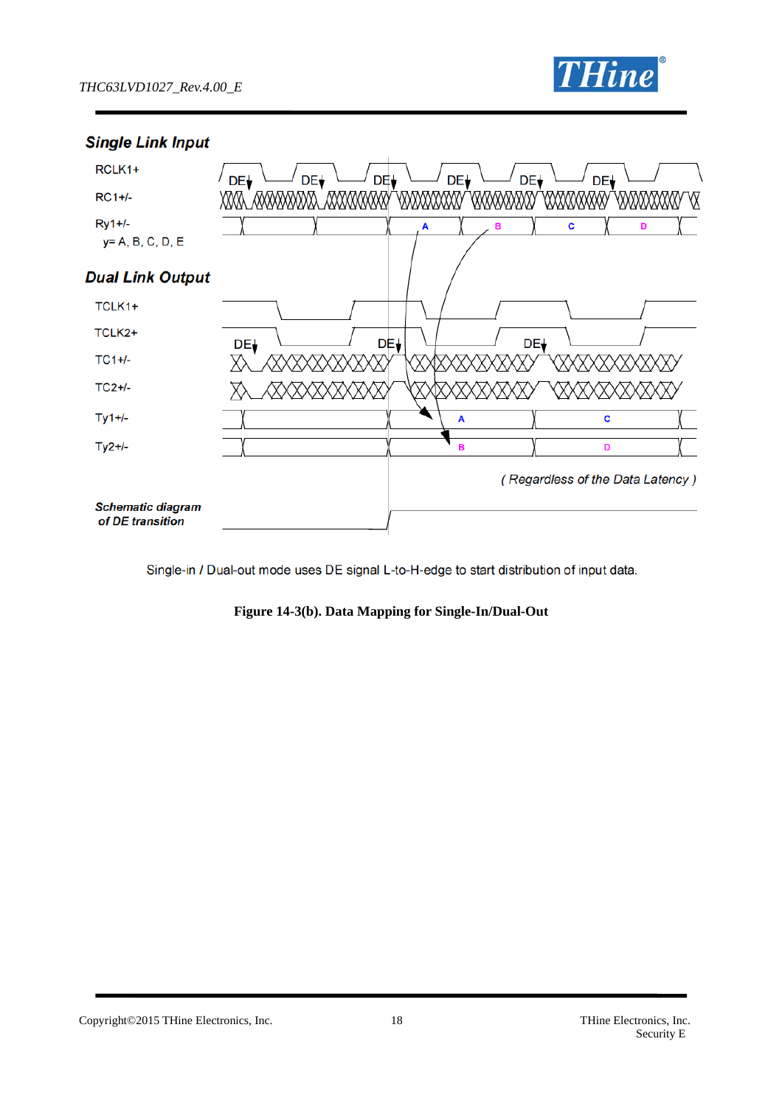

### **Single Link Input**



Single-in / Dual-out mode uses DE signal L-to-H-edge to start distribution of input data.

**Figure 14-3(b). Data Mapping for Single-In/Dual-Out** 

Copyright©2015 THine Electronics, Inc. 18 THine Electronics, Inc.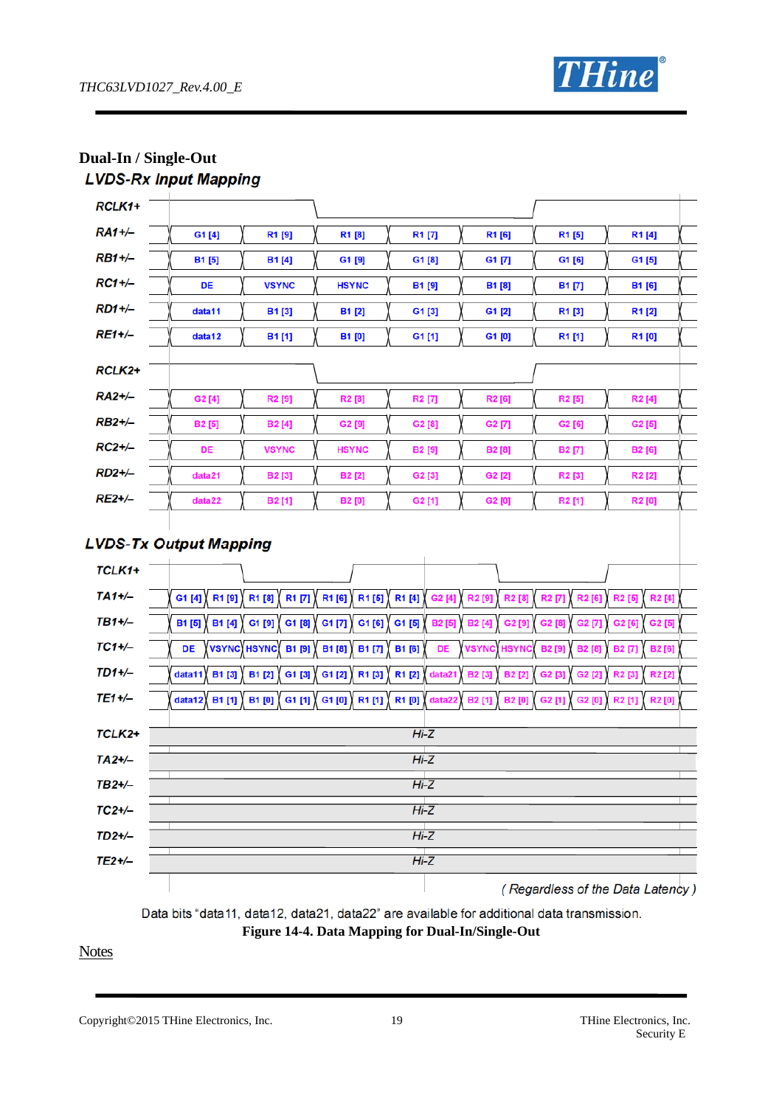

|               | LVDJ-na Imput mapping         |                              |                              |                        |                                |                                    |                                          |
|---------------|-------------------------------|------------------------------|------------------------------|------------------------|--------------------------------|------------------------------------|------------------------------------------|
| RCLK1+        |                               |                              |                              |                        |                                |                                    |                                          |
| $RA1+/-$      | G1 [4]                        | R1 [9]                       | R1 [8]                       | R1 [7]                 | R1 [6]                         | R1 [5]                             | R1[4]                                    |
| $RB1+/-$      | B1 [5]                        | B <sub>1[4]</sub>            | G1 [9]                       | G1 [8]                 | G1 [7]                         | G1 [6]                             | G1 [5]                                   |
| $RC1+/-$      | DE                            | <b>VSYNC</b>                 | <b>HSYNC</b>                 | <b>B1 [9]</b>          | <b>B1 [8]</b>                  | <b>B1 [7]</b>                      | B1 [6]                                   |
| $RD1+/-$      | data11                        | B1[3]                        | B1 [2]                       | G1 [3]                 | G1 [2]                         | R1 [3]                             | R1[2]                                    |
| RE1+/-        | data12                        | B1[1]                        | <b>B1 [0]</b>                | G1[1]                  | G1[0]                          | R1 [1]                             | R1[0]                                    |
|               |                               |                              |                              |                        |                                |                                    |                                          |
| RCLK2+        |                               |                              |                              |                        |                                |                                    |                                          |
| RA2+/-        | G2[4]                         | R2 [9]                       | R2 [8]                       | R <sub>2</sub> [7]     | R2 [6]                         | R <sub>2</sub> [5]                 | R <sub>2</sub> [4]                       |
| <b>RB2+/-</b> | B <sub>2</sub> [5]            | <b>B2[4]</b>                 | G2 [9]                       | G2 [8]                 | G2 [7]                         | G2 [6]                             | G2 [5]                                   |
| $RC2+/-$      | DE                            | <b>VSYNC</b>                 | <b>HSYNC</b>                 | <b>B2</b> [9]          | <b>B2</b> [8]                  | B2 [7]                             | B2 [6]                                   |
| $RD2+/-$      | data21                        | B <sub>2</sub> [3]           | <b>B2</b> [2]                | G2 [3]                 | G2 [2]                         | R <sub>2</sub> [3]                 | R <sub>2</sub> [2]                       |
| <b>RE2+/-</b> | data22                        | B2[1]                        | <b>B2</b> [0]                | G2[1]                  | G2 [0]                         | R2 [1]                             | R2 [0]                                   |
| TCLK1+        | <b>LVDS-Tx Output Mapping</b> |                              |                              |                        |                                |                                    |                                          |
|               |                               |                              |                              |                        |                                |                                    |                                          |
| $TA1+/-$      | G1 $[4]$<br>R1 [9]            | R1 [8]<br>R1 [7]             | R1 [6]<br>R1[5]              | R1 [4]<br>G2 [4]       | R2 [9]<br>R <sub>2</sub> [8]   | R <sub>2</sub> [7]<br><b>R2[6]</b> | R2 [5]<br>R <sub>2</sub> [4]             |
| TB1+/-        | B1 [5]<br>B1 [4]              | G1 [9]<br>G1 [8]             | G1 [7]<br>$G1$ [6]           | G1 [5]<br><b>B2[5]</b> | <b>B2</b> [4]<br>G2 [9]        | G2 [8]<br>G2 [7]                   | G2 [5]<br>G2 [6]                         |
| $TC1+/-$      | DE                            | VSYNC HSYNC<br><b>B1 [9]</b> | <b>B1[8]</b><br><b>B1[7]</b> | B1 [6]<br>DE           | VSYNC<br>HSYN                  | <b>B2</b> [9]<br><b>B2</b> [8]     | <b>B2</b> [7]<br><b>B2[6]</b>            |
| $TD1+/-$      | data11<br><b>B1 [3]</b>       | B1 [2]<br>G1 [3]             | R1 [3]<br>G1 [2]             | R1 [2]<br>data21       | <b>B2</b> [3]<br><b>B2</b> [2] | G2 [3]<br>G2 [2]                   | R <sub>2</sub> [2]<br>R <sub>2</sub> [3] |
| TE1+/-        | data12<br>B1 [1]              | <b>B1 [0]</b><br>G1 [1]      | G1[0]<br>R1[1]               | R1[0]<br>data22        | B2 [1]<br><b>B2</b> [0]        | G2 [1]<br>G2 [0]                   | R2 [1]<br>R2 [0]                         |
| TCLK2+        |                               |                              |                              | $Hi-Z$                 |                                |                                    |                                          |
| $TA2+/-$      | $Hi-Z$                        |                              |                              |                        |                                |                                    |                                          |
| $TB2+/-$      |                               |                              |                              | $Hi-Z$                 |                                |                                    |                                          |
| $TC2+/-$      |                               | $Hi-Z$                       |                              |                        |                                |                                    |                                          |
| $TD2+/-$      |                               | $Hi-Z$                       |                              |                        |                                |                                    |                                          |
| $TE2+/-$      |                               |                              |                              | $Hi-Z$                 |                                |                                    |                                          |
|               |                               |                              |                              |                        |                                |                                    | ( Regardless of the Data Latency)        |

**Dual-In / Single-Out LVDS-Ry Input Manning** 

(Regardless of the Data Latency)

Data bits "data11, data12, data21, data22" are available for additional data transmission. **Figure 14-4. Data Mapping for Dual-In/Single-Out**

**Notes** 

Copyright©2015 THine Electronics, Inc. 19 THine Electronics, Inc.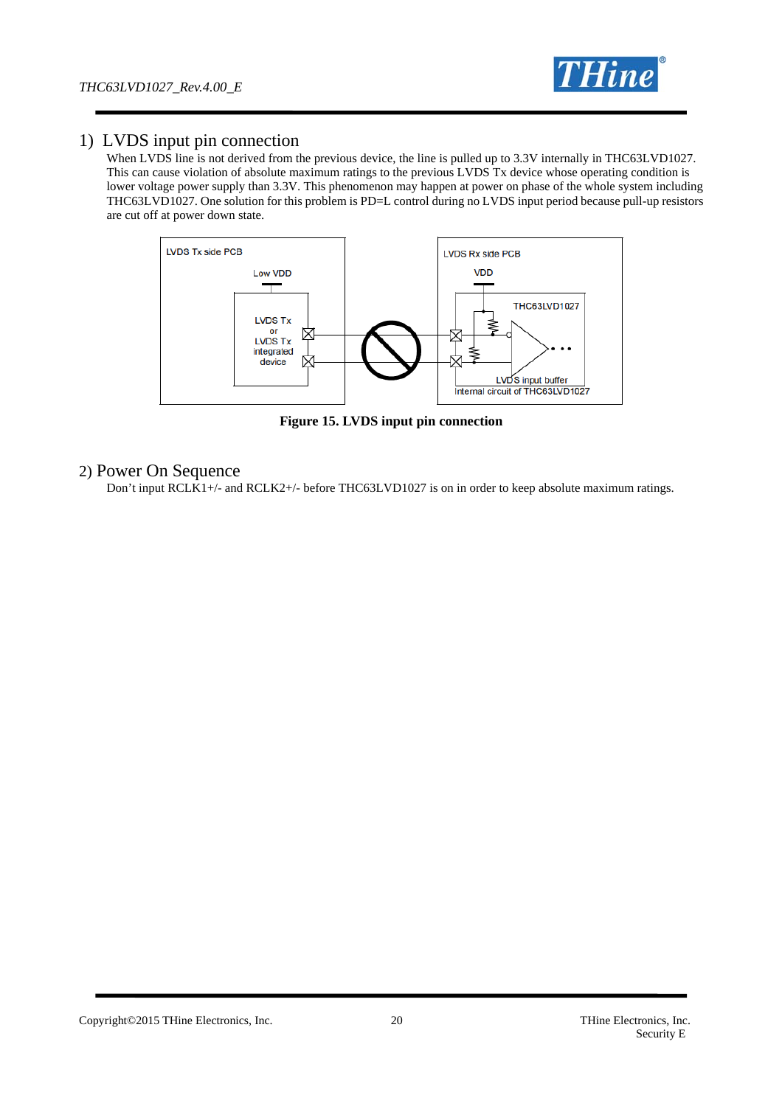

### 1) LVDS input pin connection

When LVDS line is not derived from the previous device, the line is pulled up to 3.3V internally in THC63LVD1027. This can cause violation of absolute maximum ratings to the previous LVDS Tx device whose operating condition is lower voltage power supply than 3.3V. This phenomenon may happen at power on phase of the whole system including THC63LVD1027. One solution for this problem is PD=L control during no LVDS input period because pull-up resistors are cut off at power down state.



**Figure 15. LVDS input pin connection**

#### 2) Power On Sequence

Don't input RCLK1+/- and RCLK2+/- before THC63LVD1027 is on in order to keep absolute maximum ratings.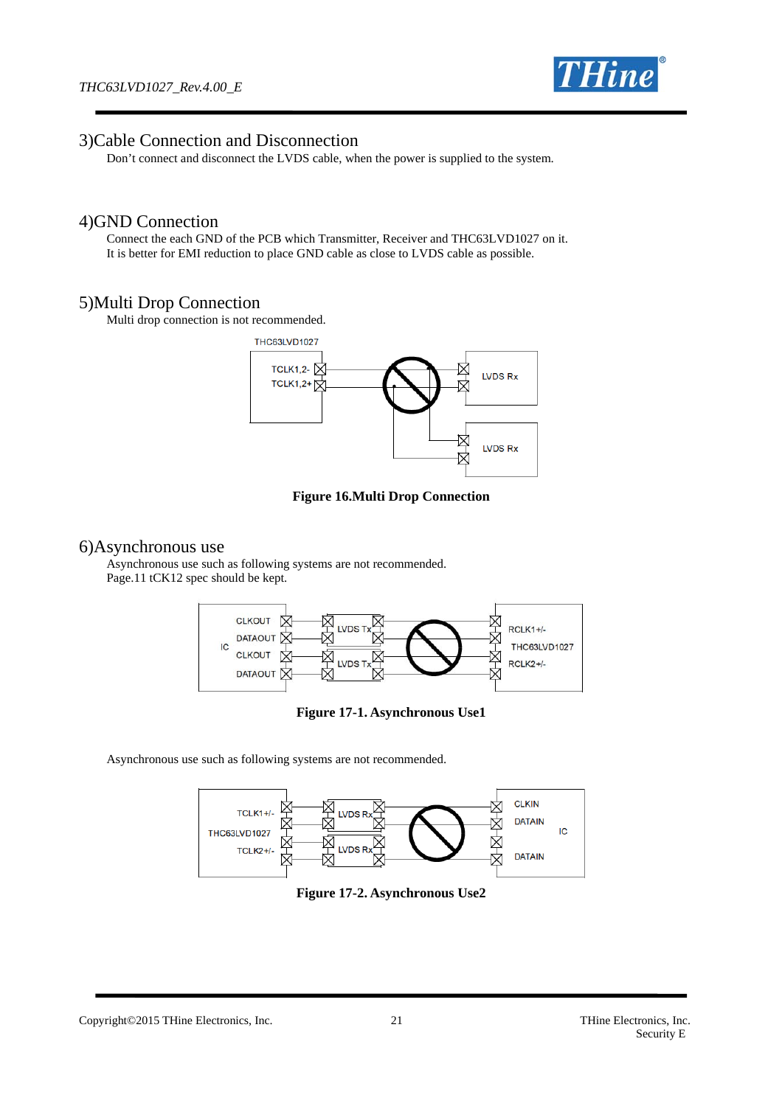

#### 3)Cable Connection and Disconnection

Don't connect and disconnect the LVDS cable, when the power is supplied to the system.

#### 4)GND Connection

Connect the each GND of the PCB which Transmitter, Receiver and THC63LVD1027 on it. It is better for EMI reduction to place GND cable as close to LVDS cable as possible.

#### 5)Multi Drop Connection

Multi drop connection is not recommended.



#### **Figure 16.Multi Drop Connection**

#### 6)Asynchronous use

Asynchronous use such as following systems are not recommended. Page.11 tCK12 spec should be kept.



**Figure 17-1. Asynchronous Use1** 

Asynchronous use such as following systems are not recommended.



**Figure 17-2. Asynchronous Use2** 

Copyright©2015 THine Electronics, Inc. 21 THine Electronics, Inc.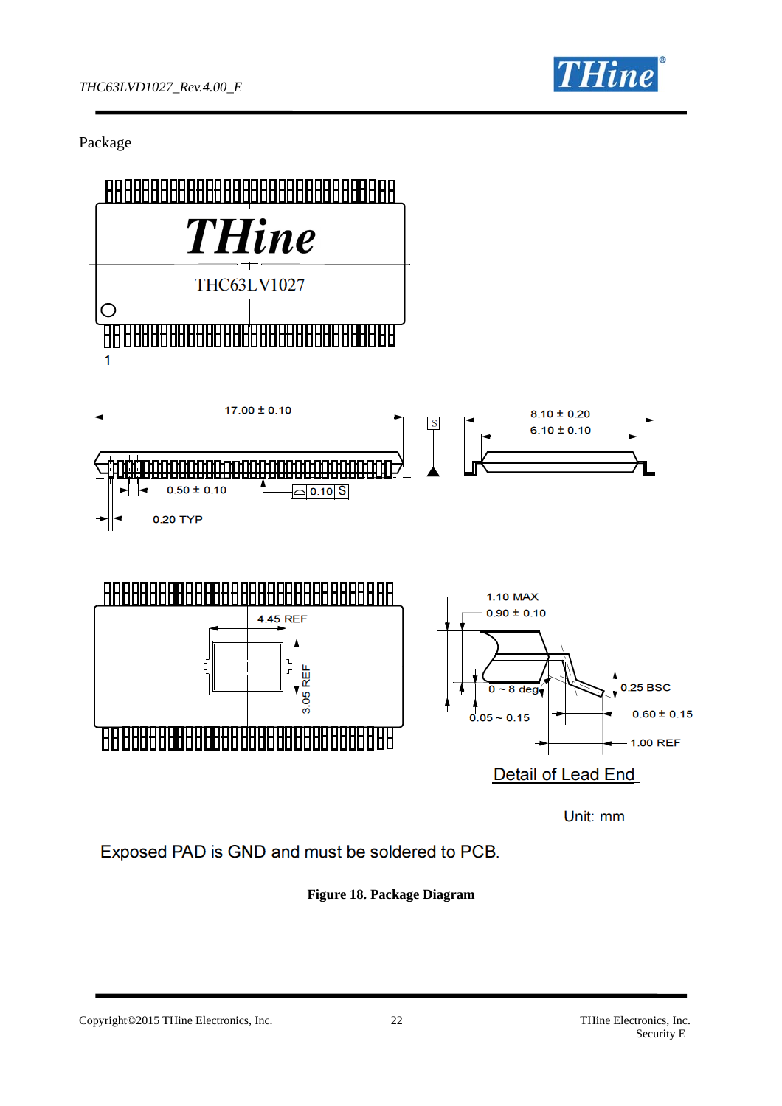

Package



Unit: mm

Exposed PAD is GND and must be soldered to PCB.

**Figure 18. Package Diagram** 

Copyright©2015 THine Electronics, Inc. 22 THine Electronics, Inc. 22 THine Electronics, Inc.